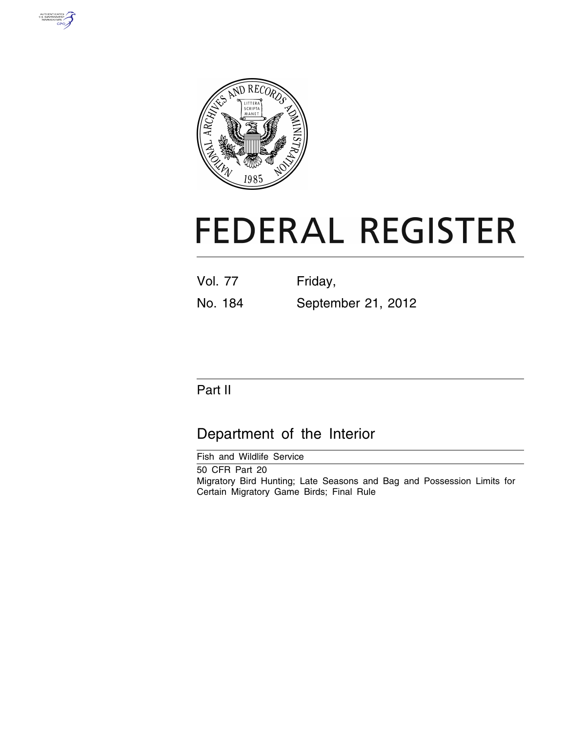



# **FEDERAL REGISTER**

| <b>Vol. 77</b> | Friday,            |
|----------------|--------------------|
| No. 184        | September 21, 2012 |

# Part II

# Department of the Interior

Fish and Wildlife Service

50 CFR Part 20 Migratory Bird Hunting; Late Seasons and Bag and Possession Limits for Certain Migratory Game Birds; Final Rule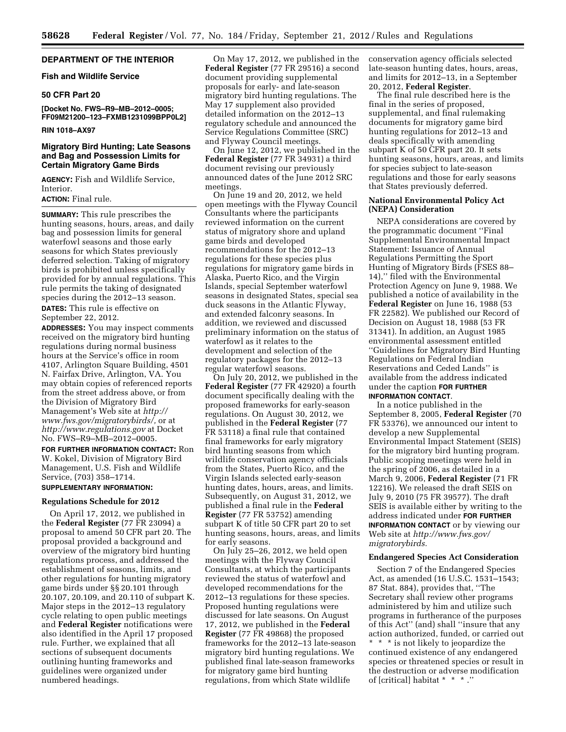#### **DEPARTMENT OF THE INTERIOR**

#### **Fish and Wildlife Service**

#### **50 CFR Part 20**

**[Docket No. FWS–R9–MB–2012–0005; FF09M21200–123–FXMB1231099BPP0L2]** 

#### **RIN 1018–AX97**

#### **Migratory Bird Hunting; Late Seasons and Bag and Possession Limits for Certain Migratory Game Birds**

**AGENCY:** Fish and Wildlife Service, Interior.

#### **ACTION:** Final rule.

**SUMMARY:** This rule prescribes the hunting seasons, hours, areas, and daily bag and possession limits for general waterfowl seasons and those early seasons for which States previously deferred selection. Taking of migratory birds is prohibited unless specifically provided for by annual regulations. This rule permits the taking of designated species during the 2012–13 season.

**DATES:** This rule is effective on September 22, 2012.

**ADDRESSES:** You may inspect comments received on the migratory bird hunting regulations during normal business hours at the Service's office in room 4107, Arlington Square Building, 4501 N. Fairfax Drive, Arlington, VA. You may obtain copies of referenced reports from the street address above, or from the Division of Migratory Bird Management's Web site at *[http://](http://www.fws.gov/migratorybirds/) [www.fws.gov/migratorybirds/,](http://www.fws.gov/migratorybirds/)* or at *<http://www.regulations.gov>* at Docket No. FWS–R9–MB–2012–0005.

**FOR FURTHER INFORMATION CONTACT:** Ron W. Kokel, Division of Migratory Bird Management, U.S. Fish and Wildlife Service, (703) 358–1714.

#### **SUPPLEMENTARY INFORMATION:**

#### **Regulations Schedule for 2012**

On April 17, 2012, we published in the **Federal Register** (77 FR 23094) a proposal to amend 50 CFR part 20. The proposal provided a background and overview of the migratory bird hunting regulations process, and addressed the establishment of seasons, limits, and other regulations for hunting migratory game birds under §§ 20.101 through 20.107, 20.109, and 20.110 of subpart K. Major steps in the 2012–13 regulatory cycle relating to open public meetings and **Federal Register** notifications were also identified in the April 17 proposed rule. Further, we explained that all sections of subsequent documents outlining hunting frameworks and guidelines were organized under numbered headings.

On May 17, 2012, we published in the **Federal Register** (77 FR 29516) a second document providing supplemental proposals for early- and late-season migratory bird hunting regulations. The May 17 supplement also provided detailed information on the 2012–13 regulatory schedule and announced the Service Regulations Committee (SRC) and Flyway Council meetings.

On June 12, 2012, we published in the **Federal Register** (77 FR 34931) a third document revising our previously announced dates of the June 2012 SRC meetings.

On June 19 and 20, 2012, we held open meetings with the Flyway Council Consultants where the participants reviewed information on the current status of migratory shore and upland game birds and developed recommendations for the 2012–13 regulations for these species plus regulations for migratory game birds in Alaska, Puerto Rico, and the Virgin Islands, special September waterfowl seasons in designated States, special sea duck seasons in the Atlantic Flyway, and extended falconry seasons. In addition, we reviewed and discussed preliminary information on the status of waterfowl as it relates to the development and selection of the regulatory packages for the 2012–13 regular waterfowl seasons.

On July 20, 2012, we published in the **Federal Register** (77 FR 42920) a fourth document specifically dealing with the proposed frameworks for early-season regulations. On August 30, 2012, we published in the **Federal Register** (77 FR 53118) a final rule that contained final frameworks for early migratory bird hunting seasons from which wildlife conservation agency officials from the States, Puerto Rico, and the Virgin Islands selected early-season hunting dates, hours, areas, and limits. Subsequently, on August 31, 2012, we published a final rule in the **Federal Register** (77 FR 53752) amending subpart K of title 50 CFR part 20 to set hunting seasons, hours, areas, and limits for early seasons.

On July 25–26, 2012, we held open meetings with the Flyway Council Consultants, at which the participants reviewed the status of waterfowl and developed recommendations for the 2012–13 regulations for these species. Proposed hunting regulations were discussed for late seasons. On August 17, 2012, we published in the **Federal Register** (77 FR 49868) the proposed frameworks for the 2012–13 late-season migratory bird hunting regulations. We published final late-season frameworks for migratory game bird hunting regulations, from which State wildlife

conservation agency officials selected late-season hunting dates, hours, areas, and limits for 2012–13, in a September 20, 2012, **Federal Register**.

The final rule described here is the final in the series of proposed, supplemental, and final rulemaking documents for migratory game bird hunting regulations for 2012–13 and deals specifically with amending subpart K of 50 CFR part 20. It sets hunting seasons, hours, areas, and limits for species subject to late-season regulations and those for early seasons that States previously deferred.

#### **National Environmental Policy Act (NEPA) Consideration**

NEPA considerations are covered by the programmatic document ''Final Supplemental Environmental Impact Statement: Issuance of Annual Regulations Permitting the Sport Hunting of Migratory Birds (FSES 88– 14),'' filed with the Environmental Protection Agency on June 9, 1988. We published a notice of availability in the **Federal Register** on June 16, 1988 (53 FR 22582). We published our Record of Decision on August 18, 1988 (53 FR 31341). In addition, an August 1985 environmental assessment entitled ''Guidelines for Migratory Bird Hunting Regulations on Federal Indian Reservations and Ceded Lands'' is available from the address indicated under the caption **FOR FURTHER INFORMATION CONTACT**.

In a notice published in the September 8, 2005, **Federal Register** (70 FR 53376), we announced our intent to develop a new Supplemental Environmental Impact Statement (SEIS) for the migratory bird hunting program. Public scoping meetings were held in the spring of 2006, as detailed in a March 9, 2006, **Federal Register** (71 FR 12216). We released the draft SEIS on July 9, 2010 (75 FR 39577). The draft SEIS is available either by writing to the address indicated under **FOR FURTHER INFORMATION CONTACT** or by viewing our Web site at *[http://www.fws.gov/](http://www.fws.gov/migratorybirds) [migratorybirds.](http://www.fws.gov/migratorybirds)* 

#### **Endangered Species Act Consideration**

Section 7 of the Endangered Species Act, as amended (16 U.S.C. 1531–1543; 87 Stat. 884), provides that, ''The Secretary shall review other programs administered by him and utilize such programs in furtherance of the purposes of this Act'' (and) shall ''insure that any action authorized, funded, or carried out \* \* \* is not likely to jeopardize the continued existence of any endangered species or threatened species or result in the destruction or adverse modification of [critical] habitat \* \* \* .''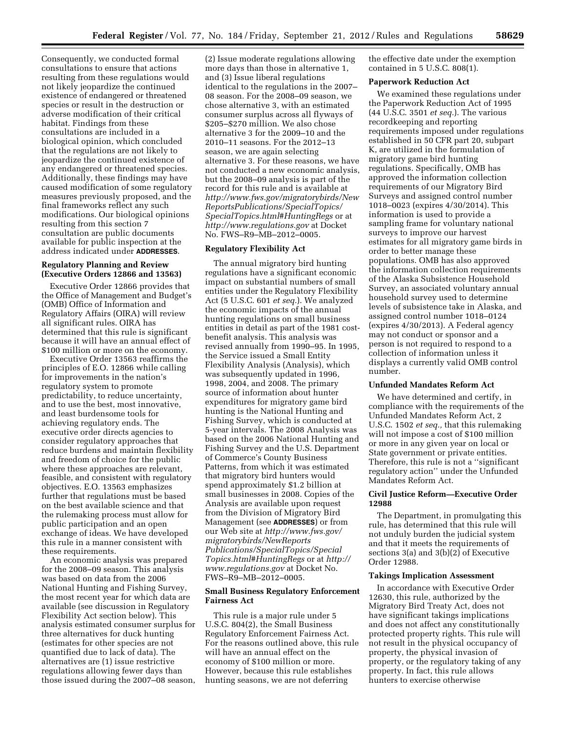Consequently, we conducted formal consultations to ensure that actions resulting from these regulations would not likely jeopardize the continued existence of endangered or threatened species or result in the destruction or adverse modification of their critical habitat. Findings from these consultations are included in a biological opinion, which concluded that the regulations are not likely to jeopardize the continued existence of any endangered or threatened species. Additionally, these findings may have caused modification of some regulatory measures previously proposed, and the final frameworks reflect any such modifications. Our biological opinions resulting from this section 7 consultation are public documents available for public inspection at the address indicated under **ADDRESSES**.

#### **Regulatory Planning and Review (Executive Orders 12866 and 13563)**

Executive Order 12866 provides that the Office of Management and Budget's (OMB) Office of Information and Regulatory Affairs (OIRA) will review all significant rules. OIRA has determined that this rule is significant because it will have an annual effect of \$100 million or more on the economy.

Executive Order 13563 reaffirms the principles of E.O. 12866 while calling for improvements in the nation's regulatory system to promote predictability, to reduce uncertainty, and to use the best, most innovative, and least burdensome tools for achieving regulatory ends. The executive order directs agencies to consider regulatory approaches that reduce burdens and maintain flexibility and freedom of choice for the public where these approaches are relevant, feasible, and consistent with regulatory objectives. E.O. 13563 emphasizes further that regulations must be based on the best available science and that the rulemaking process must allow for public participation and an open exchange of ideas. We have developed this rule in a manner consistent with these requirements.

An economic analysis was prepared for the 2008–09 season. This analysis was based on data from the 2006 National Hunting and Fishing Survey, the most recent year for which data are available (see discussion in Regulatory Flexibility Act section below). This analysis estimated consumer surplus for three alternatives for duck hunting (estimates for other species are not quantified due to lack of data). The alternatives are (1) issue restrictive regulations allowing fewer days than those issued during the 2007–08 season,

(2) Issue moderate regulations allowing more days than those in alternative 1, and (3) Issue liberal regulations identical to the regulations in the 2007– 08 season. For the 2008–09 season, we chose alternative 3, with an estimated consumer surplus across all flyways of \$205–\$270 million. We also chose alternative 3 for the 2009–10 and the 2010–11 seasons. For the 2012–13 season, we are again selecting alternative 3. For these reasons, we have not conducted a new economic analysis, but the 2008–09 analysis is part of the record for this rule and is available at *[http://www.fws.gov/migratorybirds/New](http://www.fws.gov/migratorybirds/NewReportsPublications/SpecialTopics/SpecialTopics.html#HuntingRegs) [ReportsPublications/SpecialTopics/](http://www.fws.gov/migratorybirds/NewReportsPublications/SpecialTopics/SpecialTopics.html#HuntingRegs) [SpecialTopics.html#HuntingRegs](http://www.fws.gov/migratorybirds/NewReportsPublications/SpecialTopics/SpecialTopics.html#HuntingRegs)* or at *<http://www.regulations.gov>* at Docket No. FWS–R9–MB–2012–0005.

#### **Regulatory Flexibility Act**

The annual migratory bird hunting regulations have a significant economic impact on substantial numbers of small entities under the Regulatory Flexibility Act (5 U.S.C. 601 *et seq.*). We analyzed the economic impacts of the annual hunting regulations on small business entities in detail as part of the 1981 costbenefit analysis. This analysis was revised annually from 1990–95. In 1995, the Service issued a Small Entity Flexibility Analysis (Analysis), which was subsequently updated in 1996, 1998, 2004, and 2008. The primary source of information about hunter expenditures for migratory game bird hunting is the National Hunting and Fishing Survey, which is conducted at 5-year intervals. The 2008 Analysis was based on the 2006 National Hunting and Fishing Survey and the U.S. Department of Commerce's County Business Patterns, from which it was estimated that migratory bird hunters would spend approximately \$1.2 billion at small businesses in 2008. Copies of the Analysis are available upon request from the Division of Migratory Bird Management (see **ADDRESSES**) or from our Web site at *[http://www.fws.gov/](http://www.fws.gov/migratorybirds/NewReportsPublications/SpecialTopics/SpecialTopics.html#HuntingRegs) [migratorybirds/NewReports](http://www.fws.gov/migratorybirds/NewReportsPublications/SpecialTopics/SpecialTopics.html#HuntingRegs) [Publications/SpecialTopics/Special](http://www.fws.gov/migratorybirds/NewReportsPublications/SpecialTopics/SpecialTopics.html#HuntingRegs) [Topics.html#HuntingRegs](http://www.fws.gov/migratorybirds/NewReportsPublications/SpecialTopics/SpecialTopics.html#HuntingRegs)* or at *[http://](http://www.regulations.gov) [www.regulations.gov](http://www.regulations.gov)* at Docket No. FWS–R9–MB–2012–0005.

#### **Small Business Regulatory Enforcement Fairness Act**

This rule is a major rule under 5 U.S.C. 804(2), the Small Business Regulatory Enforcement Fairness Act. For the reasons outlined above, this rule will have an annual effect on the economy of \$100 million or more. However, because this rule establishes hunting seasons, we are not deferring

the effective date under the exemption contained in 5 U.S.C. 808(1).

#### **Paperwork Reduction Act**

We examined these regulations under the Paperwork Reduction Act of 1995 (44 U.S.C. 3501 *et seq.*). The various recordkeeping and reporting requirements imposed under regulations established in 50 CFR part 20, subpart K, are utilized in the formulation of migratory game bird hunting regulations. Specifically, OMB has approved the information collection requirements of our Migratory Bird Surveys and assigned control number 1018–0023 (expires 4/30/2014). This information is used to provide a sampling frame for voluntary national surveys to improve our harvest estimates for all migratory game birds in order to better manage these populations. OMB has also approved the information collection requirements of the Alaska Subsistence Household Survey, an associated voluntary annual household survey used to determine levels of subsistence take in Alaska, and assigned control number 1018–0124 (expires 4/30/2013). A Federal agency may not conduct or sponsor and a person is not required to respond to a collection of information unless it displays a currently valid OMB control number.

#### **Unfunded Mandates Reform Act**

We have determined and certify, in compliance with the requirements of the Unfunded Mandates Reform Act, 2 U.S.C. 1502 *et seq.,* that this rulemaking will not impose a cost of \$100 million or more in any given year on local or State government or private entities. Therefore, this rule is not a ''significant regulatory action'' under the Unfunded Mandates Reform Act.

#### **Civil Justice Reform—Executive Order 12988**

The Department, in promulgating this rule, has determined that this rule will not unduly burden the judicial system and that it meets the requirements of sections 3(a) and 3(b)(2) of Executive Order 12988.

#### **Takings Implication Assessment**

In accordance with Executive Order 12630, this rule, authorized by the Migratory Bird Treaty Act, does not have significant takings implications and does not affect any constitutionally protected property rights. This rule will not result in the physical occupancy of property, the physical invasion of property, or the regulatory taking of any property. In fact, this rule allows hunters to exercise otherwise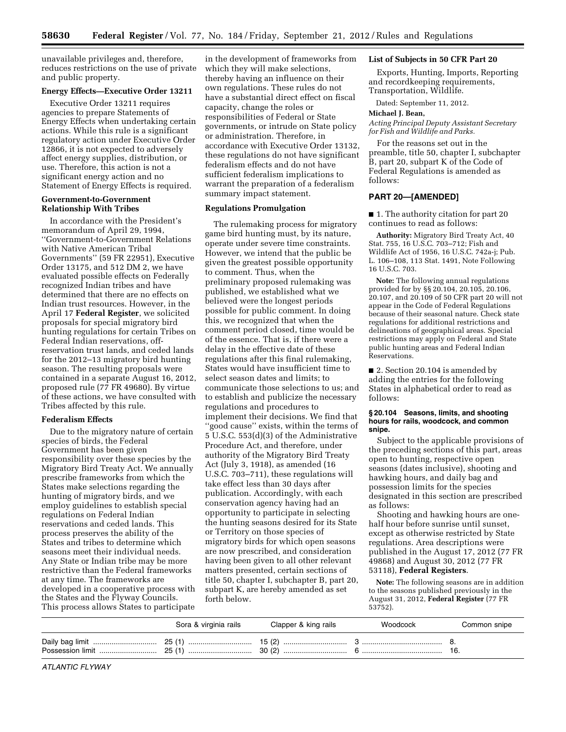unavailable privileges and, therefore, reduces restrictions on the use of private and public property.

# **Energy Effects—Executive Order 13211**

Executive Order 13211 requires agencies to prepare Statements of Energy Effects when undertaking certain actions. While this rule is a significant regulatory action under Executive Order 12866, it is not expected to adversely affect energy supplies, distribution, or use. Therefore, this action is not a significant energy action and no Statement of Energy Effects is required.

#### **Government-to-Government Relationship With Tribes**

In accordance with the President's memorandum of April 29, 1994, ''Government-to-Government Relations with Native American Tribal Governments'' (59 FR 22951), Executive Order 13175, and 512 DM 2, we have evaluated possible effects on Federally recognized Indian tribes and have determined that there are no effects on Indian trust resources. However, in the April 17 **Federal Register**, we solicited proposals for special migratory bird hunting regulations for certain Tribes on Federal Indian reservations, offreservation trust lands, and ceded lands for the 2012–13 migratory bird hunting season. The resulting proposals were contained in a separate August 16, 2012, proposed rule (77 FR 49680). By virtue of these actions, we have consulted with Tribes affected by this rule.

#### **Federalism Effects**

Due to the migratory nature of certain species of birds, the Federal Government has been given responsibility over these species by the Migratory Bird Treaty Act. We annually prescribe frameworks from which the States make selections regarding the hunting of migratory birds, and we employ guidelines to establish special regulations on Federal Indian reservations and ceded lands. This process preserves the ability of the States and tribes to determine which seasons meet their individual needs. Any State or Indian tribe may be more restrictive than the Federal frameworks at any time. The frameworks are developed in a cooperative process with the States and the Flyway Councils. This process allows States to participate

in the development of frameworks from which they will make selections, thereby having an influence on their own regulations. These rules do not have a substantial direct effect on fiscal capacity, change the roles or responsibilities of Federal or State governments, or intrude on State policy or administration. Therefore, in accordance with Executive Order 13132, these regulations do not have significant federalism effects and do not have sufficient federalism implications to warrant the preparation of a federalism summary impact statement.

#### **Regulations Promulgation**

The rulemaking process for migratory game bird hunting must, by its nature, operate under severe time constraints. However, we intend that the public be given the greatest possible opportunity to comment. Thus, when the preliminary proposed rulemaking was published, we established what we believed were the longest periods possible for public comment. In doing this, we recognized that when the comment period closed, time would be of the essence. That is, if there were a delay in the effective date of these regulations after this final rulemaking, States would have insufficient time to select season dates and limits; to communicate those selections to us; and to establish and publicize the necessary regulations and procedures to implement their decisions. We find that ''good cause'' exists, within the terms of 5 U.S.C. 553(d)(3) of the Administrative Procedure Act, and therefore, under authority of the Migratory Bird Treaty Act (July 3, 1918), as amended (16 U.S.C. 703–711), these regulations will take effect less than 30 days after publication. Accordingly, with each conservation agency having had an opportunity to participate in selecting the hunting seasons desired for its State or Territory on those species of migratory birds for which open seasons are now prescribed, and consideration having been given to all other relevant matters presented, certain sections of title 50, chapter I, subchapter B, part 20, subpart K, are hereby amended as set forth below.

#### **List of Subjects in 50 CFR Part 20**

Exports, Hunting, Imports, Reporting and recordkeeping requirements, Transportation, Wildlife.

Dated: September 11, 2012.

#### **Michael J. Bean,**

*Acting Principal Deputy Assistant Secretary for Fish and Wildlife and Parks.* 

For the reasons set out in the preamble, title 50, chapter I, subchapter B, part 20, subpart K of the Code of Federal Regulations is amended as follows:

## **PART 20—[AMENDED]**

■ 1. The authority citation for part 20 continues to read as follows:

**Authority:** Migratory Bird Treaty Act, 40 Stat. 755, 16 U.S.C. 703–712; Fish and Wildlife Act of 1956, 16 U.S.C. 742a-j; Pub. L. 106–108, 113 Stat. 1491, Note Following 16 U.S.C. 703.

**Note:** The following annual regulations provided for by §§ 20.104, 20.105, 20.106, 20.107, and 20.109 of 50 CFR part 20 will not appear in the Code of Federal Regulations because of their seasonal nature. Check state regulations for additional restrictions and delineations of geographical areas. Special restrictions may apply on Federal and State public hunting areas and Federal Indian Reservations.

■ 2. Section 20.104 is amended by adding the entries for the following States in alphabetical order to read as follows:

#### **§ 20.104 Seasons, limits, and shooting hours for rails, woodcock, and common snipe.**

Subject to the applicable provisions of the preceding sections of this part, areas open to hunting, respective open seasons (dates inclusive), shooting and hawking hours, and daily bag and possession limits for the species designated in this section are prescribed as follows:

Shooting and hawking hours are onehalf hour before sunrise until sunset, except as otherwise restricted by State regulations. Area descriptions were published in the August 17, 2012 (77 FR 49868) and August 30, 2012 (77 FR 53118), **Federal Registers**.

**Note:** The following seasons are in addition to the seasons published previously in the August 31, 2012, **Federal Register** (77 FR 53752).

| Sora & virginia rails | Clapper & king rails | Woodcock | Common snipe |
|-----------------------|----------------------|----------|--------------|
|                       |                      |          |              |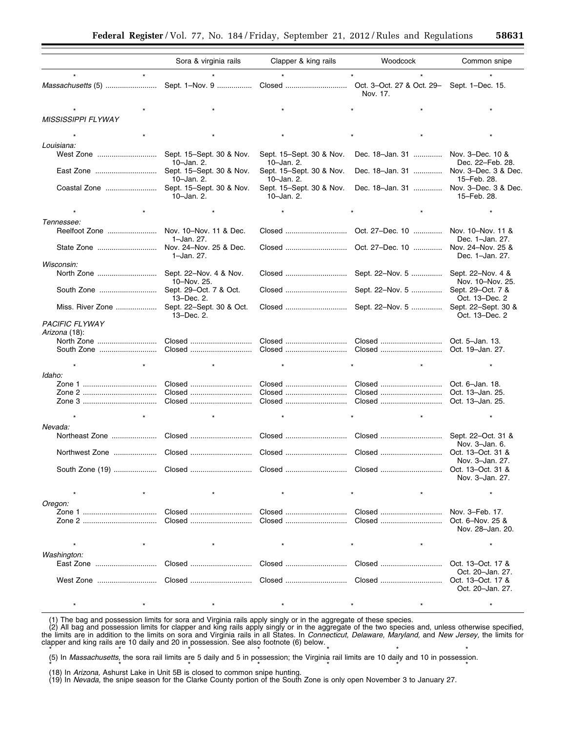|                           | Sora & virginia rails                  | Clapper & king rails                   | Woodcock         | Common snipe                                            |
|---------------------------|----------------------------------------|----------------------------------------|------------------|---------------------------------------------------------|
|                           |                                        |                                        |                  |                                                         |
|                           |                                        |                                        | Nov. 17.         | Sept. 1-Dec. 15.                                        |
|                           |                                        |                                        |                  |                                                         |
| <b>MISSISSIPPI FLYWAY</b> |                                        |                                        |                  |                                                         |
|                           |                                        |                                        |                  |                                                         |
| Louisiana:                |                                        |                                        |                  |                                                         |
| West Zone                 | Sept. 15–Sept. 30 & Nov.<br>10-Jan. 2. | Sept. 15-Sept. 30 & Nov.<br>10-Jan. 2. | Dec. 18-Jan. 31  | Nov. 3-Dec. 10 &<br>Dec. 22-Feb. 28.                    |
| East Zone                 | Sept. 15-Sept. 30 & Nov.<br>10-Jan. 2. | Sept. 15-Sept. 30 & Nov.<br>10-Jan. 2. | Dec. 18-Jan. 31  | Nov. 3-Dec. 3 & Dec.<br>15-Feb. 28.                     |
| Coastal Zone              | Sept. 15-Sept. 30 & Nov.<br>10-Jan. 2. | Sept. 15-Sept. 30 & Nov.<br>10-Jan. 2. | Dec. 18-Jan. 31  | Nov. 3-Dec. 3 & Dec.<br>15-Feb. 28.                     |
|                           |                                        | $\star$                                |                  |                                                         |
| Tennessee:                |                                        |                                        |                  |                                                         |
| Reelfoot Zone             | Nov. 10-Nov. 11 & Dec.<br>1-Jan. 27.   | Closed                                 | Oct. 27–Dec. 10  | Nov. 10-Nov. 11 &<br>Dec. 1-Jan. 27.                    |
| State Zone                | Nov. 24-Nov. 25 & Dec.<br>1–Jan. 27.   |                                        |                  | Nov. 24-Nov. 25 &<br>Dec. 1-Jan. 27.                    |
| Wisconsin:                |                                        |                                        |                  |                                                         |
|                           | Sept. 22–Nov. 4 & Nov.<br>10-Nov. 25.  | Closed                                 | Sept. 22-Nov. 5  | Sept. 22-Nov. 4 &<br>Nov. 10-Nov. 25.                   |
| South Zone                | Sept. 29-Oct. 7 & Oct.<br>13-Dec. 2.   | Closed                                 | Sept. 22-Nov. 5  | Sept. 29-Oct. 7 &<br>Oct. 13-Dec. 2                     |
| Miss. River Zone          | Sept. 22-Sept. 30 & Oct.<br>13-Dec. 2. | Closed                                 | Sept. 22-Nov. 5  | Sept. 22-Sept. 30 &<br>Oct. 13-Dec. 2                   |
| <b>PACIFIC FLYWAY</b>     |                                        |                                        |                  |                                                         |
| Arizona (18):             |                                        |                                        |                  |                                                         |
| North Zone<br>South Zone  | Closed<br>Closed                       | Closed<br>Closed                       | Closed           | Oct. 5-Jan. 13.<br>Oct. 19-Jan. 27.                     |
|                           |                                        | $\star$                                |                  |                                                         |
| Idaho:                    |                                        |                                        |                  |                                                         |
|                           | Closed                                 | Closed                                 | Closed           | Oct. 6-Jan. 18.                                         |
|                           | Closed                                 | Closed                                 |                  | Oct. 13-Jan. 25.                                        |
|                           | Closed                                 | Closed                                 | Closed           | Oct. 13-Jan. 25.                                        |
|                           |                                        |                                        |                  |                                                         |
|                           |                                        |                                        |                  |                                                         |
| Nevada:<br>Northeast Zone | Closed                                 | Closed                                 | Closed           | Sept. 22-Oct. 31 &                                      |
|                           |                                        |                                        |                  | Nov. 3-Jan. 6.<br>Oct. 13-Oct. 31 &                     |
|                           |                                        |                                        |                  | Nov. 3-Jan. 27.                                         |
|                           |                                        |                                        |                  | Oct. 13-Oct. 31 &<br>Nov. 3–Jan. 27.                    |
|                           |                                        |                                        |                  | $\star$                                                 |
| Oregon:                   |                                        |                                        |                  |                                                         |
|                           | Closed<br>Closed                       | Closed<br>Closed                       | Closed<br>Closed | Nov. 3-Feb. 17.<br>Oct. 6-Nov. 25 &<br>Nov. 28-Jan. 20. |
|                           |                                        |                                        |                  | $\star$                                                 |
| Washington:               |                                        |                                        |                  |                                                         |
|                           | Closed                                 |                                        | Closed           | Oct. 13-Oct. 17 &<br>Oct. 20-Jan. 27.                   |
| West Zone                 | Closed                                 |                                        |                  | Oct. 13-Oct. 17 &<br>Oct. 20-Jan. 27.                   |
|                           |                                        |                                        |                  | $\star$                                                 |

(1) The bag and possession limits for sora and Virginia rails apply singly or in the aggregate of these species.

(2) All bag and possession limits for clapper and king rails apply singly or in the aggregate of the two species and, unless otherwise specified, the limits are in addition to the limits on sora and Virginia rails in all States. In *Connecticut, Delaware, Maryland,* and *New Jersey,* the limits for clapper and king rails are 10 daily and 20 in possession. See also footnote (6) below.

\* \* \* \* \* \* \* \* \* \* \* \* \* \* \* (5) In *Massachusetts,* the sora rail limits are 5 daily and 5 in possession; the Virginia rail limits are 10 daily and 10 in possession.

\* \* \* \* \* \* \* \* \* \* \* \* \* \* \* (18) In *Arizona,* Ashurst Lake in Unit 5B is closed to common snipe hunting.

(19) In *Nevada,* the snipe season for the Clarke County portion of the South Zone is only open November 3 to January 27.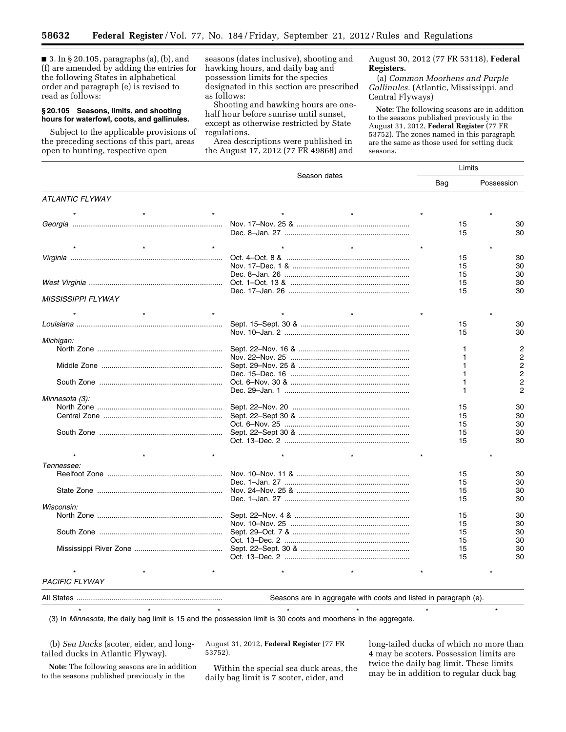■ 3. In § 20.105, paragraphs (a), (b), and (f) are amended by adding the entries for the following States in alphabetical order and paragraph (e) is revised to read as follows:

#### **§ 20.105 Seasons, limits, and shooting hours for waterfowl, coots, and gallinules.**

Subject to the applicable provisions of the preceding sections of this part, areas open to hunting, respective open

seasons (dates inclusive), shooting and hawking hours, and daily bag and possession limits for the species designated in this section are prescribed as follows:

Shooting and hawking hours are onehalf hour before sunrise until sunset, except as otherwise restricted by State regulations.

Area descriptions were published in the August 17, 2012 (77 FR 49868) and August 30, 2012 (77 FR 53118), **Federal Registers.** 

(a) *Common Moorhens and Purple Gallinules.* (Atlantic, Mississippi, and Central Flyways)

**Note:** The following seasons are in addition to the seasons published previously in the August 31, 2012, **Federal Register** (77 FR 53752). The zones named in this paragraph are the same as those used for setting duck seasons.

|                           | Season dates | Limits |                |
|---------------------------|--------------|--------|----------------|
|                           |              |        | Possession     |
| <b>ATLANTIC FLYWAY</b>    |              |        |                |
|                           |              |        |                |
|                           |              | 15     | 30             |
|                           |              | 15     | 30             |
|                           |              |        |                |
|                           |              |        |                |
|                           |              | 15     | 30             |
|                           |              | 15     | 30             |
|                           |              | 15     | 30             |
|                           |              | 15     | 30             |
|                           |              | 15     | 30             |
| <i>MISSISSIPPI FLYWAY</i> |              |        |                |
|                           |              |        |                |
|                           |              | 15     | 30             |
|                           |              | 15     | 30             |
| Michigan:                 |              |        |                |
|                           |              |        | 2              |
|                           |              |        | 2              |
|                           |              |        | 2              |
|                           |              |        | $\overline{2}$ |
|                           |              |        | 2              |
|                           |              |        | $\overline{2}$ |
| Minnesota (3):            |              |        |                |
|                           |              | 15     | 30             |
|                           |              | 15     | 30             |
|                           |              | 15     | 30             |
|                           |              | 15     | 30             |
|                           |              | 15     | 30             |
|                           |              |        |                |
| Tennessee:                |              |        |                |
|                           |              | 15     | 30             |
|                           |              | 15     | 30             |
|                           |              | 15     | 30             |
|                           |              | 15     | 30             |
| Wisconsin:                |              |        |                |
|                           |              | 15     | 30             |
|                           |              | 15     | 30             |
|                           |              | 15     | 30             |
|                           |              | 15     | 30             |
|                           |              | 15     | 30             |
|                           |              | 15     | 30             |
|                           |              |        |                |
| <b>PACIFIC FLYWAY</b>     |              |        |                |
|                           |              |        |                |

| All State | ↑ addredate with coots and listed in L<br>are in<br>naradrabh -<br>asons<br>≅е. |
|-----------|---------------------------------------------------------------------------------|
|           |                                                                                 |

\*\*\*\*\*\*\* (3) In *Minnesota,* the daily bag limit is 15 and the possession limit is 30 coots and moorhens in the aggregate.

(b) *Sea Ducks* (scoter, eider, and longtailed ducks in Atlantic Flyway).

**Note:** The following seasons are in addition to the seasons published previously in the

August 31, 2012, **Federal Register** (77 FR 53752).

Within the special sea duck areas, the daily bag limit is 7 scoter, eider, and

long-tailed ducks of which no more than 4 may be scoters. Possession limits are twice the daily bag limit. These limits may be in addition to regular duck bag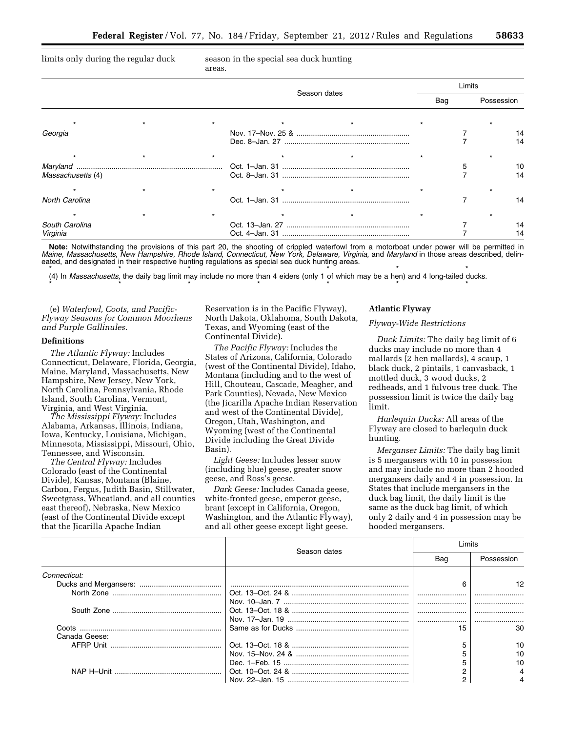limits only during the regular duck season in the special sea duck hunting areas.

|                       |  | Season dates |  |     | _imits |            |    |
|-----------------------|--|--------------|--|-----|--------|------------|----|
|                       |  |              |  | Bag |        | Possession |    |
|                       |  |              |  |     |        |            |    |
| Georgia               |  |              |  |     |        |            | 14 |
|                       |  |              |  |     |        |            |    |
| Massachusetts (4)     |  |              |  |     |        |            | 10 |
|                       |  |              |  |     |        |            |    |
| <b>North Carolina</b> |  |              |  |     |        |            | 14 |
|                       |  |              |  |     |        |            |    |
| South Carolina        |  |              |  |     |        |            |    |
| Virginia              |  |              |  |     |        |            |    |

**Note:** Notwithstanding the provisions of this part 20, the shooting of crippled waterfowl from a motorboat under power will be permitted in *Maine, Massachusetts, New Hampshire, Rhode Island, Connecticut, New York, Delaware, Virginia, and Maryland* in those areas described, delineated, and designated in their respective hunting regulations as special sea duck hunting areas.

\* \* \* \* \* \* \* \* \* \* \* \* \* \* \* \* \* (4) In *Massachusetts,* the daily bag limit may include no more than 4 eiders (only 1 of which may be a hen) and 4 long-tailed ducks.

\* \* \* \* \* \* \* \* \* \* \* \* \* \* \*

(e) *Waterfowl, Coots, and Pacific-Flyway Seasons for Common Moorhens and Purple Gallinules.* 

#### **Definitions**

*The Atlantic Flyway:* Includes Connecticut, Delaware, Florida, Georgia, Maine, Maryland, Massachusetts, New Hampshire, New Jersey, New York, North Carolina, Pennsylvania, Rhode Island, South Carolina, Vermont, Virginia, and West Virginia.

*The Mississippi Flyway:* Includes Alabama, Arkansas, Illinois, Indiana, Iowa, Kentucky, Louisiana, Michigan, Minnesota, Mississippi, Missouri, Ohio, Tennessee, and Wisconsin.

*The Central Flyway:* Includes Colorado (east of the Continental Divide), Kansas, Montana (Blaine, Carbon, Fergus, Judith Basin, Stillwater, Sweetgrass, Wheatland, and all counties east thereof), Nebraska, New Mexico (east of the Continental Divide except that the Jicarilla Apache Indian

Reservation is in the Pacific Flyway), North Dakota, Oklahoma, South Dakota, Texas, and Wyoming (east of the Continental Divide).

*The Pacific Flyway:* Includes the States of Arizona, California, Colorado (west of the Continental Divide), Idaho, Montana (including and to the west of Hill, Chouteau, Cascade, Meagher, and Park Counties), Nevada, New Mexico (the Jicarilla Apache Indian Reservation and west of the Continental Divide), Oregon, Utah, Washington, and Wyoming (west of the Continental Divide including the Great Divide Basin).

*Light Geese:* Includes lesser snow (including blue) geese, greater snow geese, and Ross's geese.

*Dark Geese:* Includes Canada geese, white-fronted geese, emperor geese, brant (except in California, Oregon, Washington, and the Atlantic Flyway), and all other geese except light geese.

## **Atlantic Flyway**

#### *Flyway-Wide Restrictions*

*Duck Limits:* The daily bag limit of 6 ducks may include no more than 4 mallards (2 hen mallards), 4 scaup, 1 black duck, 2 pintails, 1 canvasback, 1 mottled duck, 3 wood ducks, 2 redheads, and 1 fulvous tree duck. The possession limit is twice the daily bag limit.

*Harlequin Ducks:* All areas of the Flyway are closed to harlequin duck hunting.

*Merganser Limits:* The daily bag limit is 5 mergansers with 10 in possession and may include no more than 2 hooded mergansers daily and 4 in possession. In States that include mergansers in the duck bag limit, the daily limit is the same as the duck bag limit, of which only 2 daily and 4 in possession may be hooded mergansers.

|               | Season dates | imits |            |
|---------------|--------------|-------|------------|
|               |              | Bag   | Possession |
| Connecticut:  |              |       |            |
|               |              |       |            |
|               |              |       |            |
|               |              |       |            |
|               |              |       |            |
|               |              |       |            |
|               |              | 15    | 30         |
| Canada Geese: |              |       |            |
|               |              |       | 10         |
|               |              |       | 10         |
|               |              |       | 10         |
|               |              |       |            |
|               |              |       |            |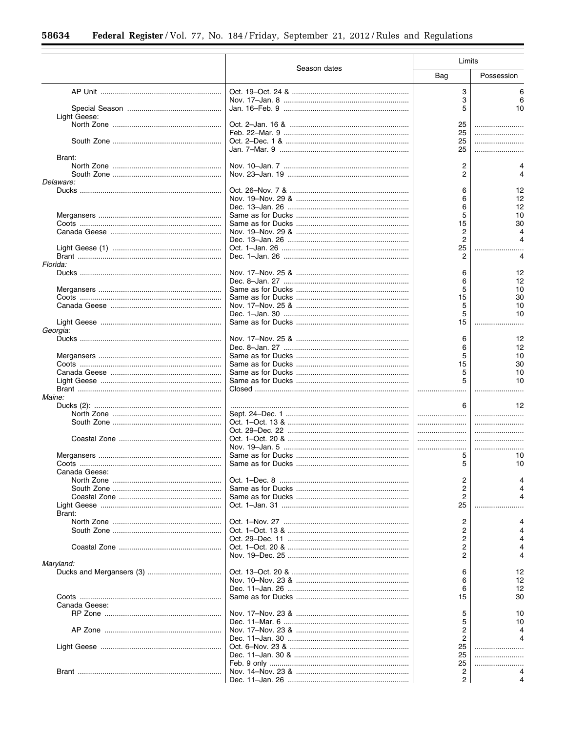|               |              | Limits |            |
|---------------|--------------|--------|------------|
|               | Season dates | Bag    | Possession |
|               |              | 3      | 6          |
|               |              | 3      | 6          |
|               |              | 5      | 10         |
| Light Geese:  |              |        |            |
|               |              | 25     |            |
|               |              | 25     |            |
|               |              | 25     |            |
|               |              | 25     |            |
| Brant:        |              |        |            |
|               |              | 2      |            |
|               |              | 2      |            |
| Delaware:     |              |        |            |
|               |              | 6<br>6 | 12<br>12   |
|               |              | 6      | 12         |
|               |              | 5      | 10         |
|               |              | 15     | 30         |
|               |              | 2      |            |
|               |              | 2      |            |
|               |              | 25     |            |
|               |              | 2      |            |
| Florida:      |              |        |            |
|               |              | 6      | 12         |
|               |              | 6      | 12         |
|               |              | 5      | 10         |
|               |              | 15     | 30         |
|               |              | 5      | 10         |
|               |              | 5      | 10         |
|               |              | 15     |            |
| Georgia:      |              |        |            |
|               |              | 6      | 12         |
|               |              | 6      | 12         |
|               |              | 5      | 10         |
|               |              | 15     | 30         |
|               |              | 5      | 10         |
|               |              |        | 10         |
|               |              |        |            |
| Maine:        |              |        |            |
|               |              | 6      | 12         |
|               |              |        |            |
|               |              |        |            |
|               |              |        |            |
|               |              |        |            |
|               |              | 5      | 10         |
|               |              | 5      | 10         |
| Canada Geese: |              |        |            |
|               |              | 2      |            |
|               |              | 2      |            |
|               |              | 2      |            |
|               |              | 25     |            |
| Brant:        |              |        |            |
|               |              | 2      |            |
|               |              | 2      |            |
|               |              | 2      |            |
|               |              | 2      |            |
|               |              | 2      |            |
| Maryland:     |              |        |            |
|               |              | 6      | 12         |
|               |              | 6      | 12         |
|               |              | 6      | 12         |
|               |              | 15     | 30         |
| Canada Geese: |              |        |            |
|               |              | 5      | 10         |
|               |              | 5      | 10         |
|               |              | 2      |            |
|               |              | 2      |            |
|               |              | 25     |            |
|               |              | 25     |            |
|               |              | 25     |            |
|               |              | 2      |            |
|               |              | 2      |            |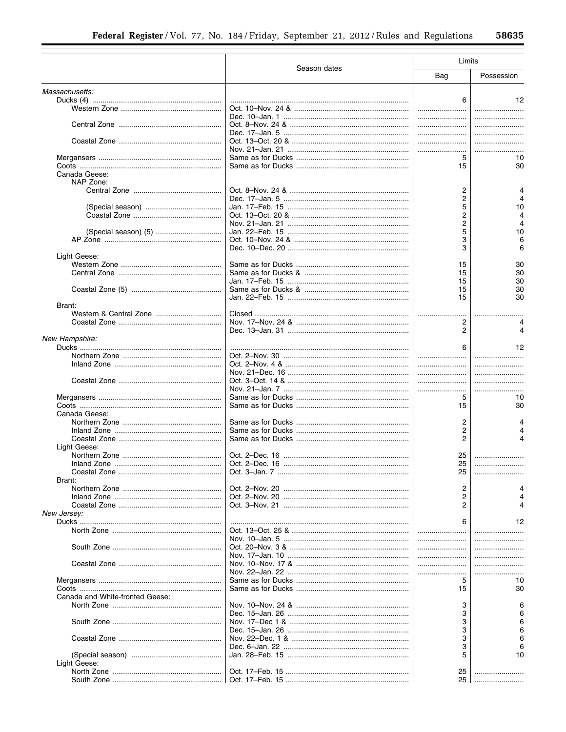|                                 |              | Limits |            |
|---------------------------------|--------------|--------|------------|
|                                 | Season dates | Bag    | Possession |
| Massachusetts:                  |              |        |            |
|                                 |              | 6      | 12         |
|                                 |              |        |            |
|                                 |              |        |            |
|                                 |              |        |            |
|                                 |              |        |            |
|                                 |              |        |            |
|                                 |              | 5      | 10         |
|                                 |              | 15     | 30         |
| Canada Geese:                   |              |        |            |
| NAP Zone:                       |              |        |            |
|                                 |              | 2      |            |
|                                 |              | 2      |            |
|                                 |              | 5      | 10         |
|                                 |              | 2      |            |
|                                 |              | 2      |            |
|                                 |              | 5      | 10         |
|                                 |              | 3      | 6          |
|                                 |              | 3      | 6          |
| Light Geese:                    |              |        |            |
|                                 |              | 15     | 30         |
|                                 |              | 15     | 30         |
|                                 |              | 15     | 30         |
|                                 |              | 15     | 30         |
|                                 |              | 15     | 30         |
| Brant:                          |              |        |            |
|                                 |              |        |            |
|                                 |              | 2      |            |
|                                 |              | 2      |            |
| New Hampshire:                  |              | 6      | 12         |
|                                 |              |        |            |
|                                 |              |        |            |
|                                 |              |        |            |
|                                 |              |        |            |
|                                 |              |        |            |
|                                 |              | 5      | <br>10     |
|                                 |              | 15     | 30         |
| Canada Geese:                   |              |        |            |
|                                 |              | 2      |            |
|                                 |              | 2      |            |
|                                 |              | 2      |            |
| Light Geese:                    |              |        |            |
|                                 |              | 25     |            |
|                                 |              | 25     |            |
|                                 |              | 25     |            |
| Brant:                          |              |        |            |
|                                 |              | 2      |            |
|                                 |              | 2      |            |
|                                 |              | 2      |            |
| New Jersey:                     |              |        |            |
|                                 |              | 6      | 12         |
|                                 |              |        |            |
|                                 |              |        |            |
|                                 |              |        |            |
|                                 |              |        |            |
|                                 |              |        |            |
|                                 |              |        |            |
|                                 |              | 5      | 10         |
|                                 |              | 15     | 30         |
| Canada and White-fronted Geese: |              |        |            |
|                                 |              | 3      |            |
|                                 |              | 3      |            |
|                                 |              | 3      |            |
|                                 |              | 3      |            |
|                                 |              | 3      |            |
|                                 |              | 3      |            |
|                                 |              | 5      | 10         |
| Light Geese:                    |              |        |            |
|                                 |              | 25     |            |
|                                 |              | 25     |            |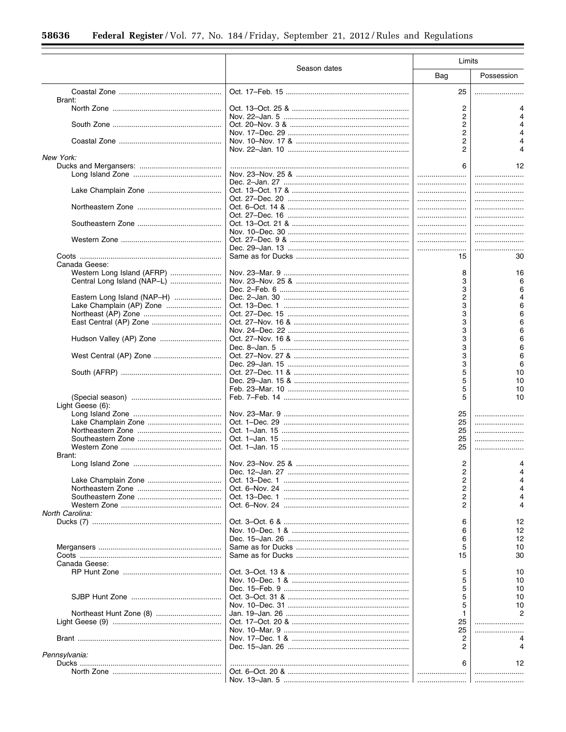|                                             |                                                  | Limits                                         |            |
|---------------------------------------------|--------------------------------------------------|------------------------------------------------|------------|
|                                             | Season dates                                     | Bag                                            | Possession |
| Brant:                                      |                                                  | 25                                             |            |
|                                             |                                                  | 2                                              |            |
|                                             |                                                  | 2<br>$\overline{\mathbf{c}}$<br>$\overline{c}$ |            |
|                                             |                                                  | $\overline{\mathbf{c}}$<br>2                   |            |
| New York:                                   |                                                  | 6                                              |            |
|                                             |                                                  |                                                | 12         |
|                                             |                                                  |                                                |            |
|                                             |                                                  |                                                |            |
|                                             |                                                  |                                                |            |
|                                             |                                                  |                                                |            |
|                                             |                                                  |                                                | .<br>      |
|                                             |                                                  |                                                |            |
|                                             |                                                  |                                                |            |
|                                             |                                                  | 15                                             | 30         |
| Canada Geese:<br>Western Long Island (AFRP) |                                                  | 8                                              | 16         |
|                                             |                                                  | 3                                              | 6          |
|                                             |                                                  | 3                                              | 6          |
| Eastern Long Island (NAP-H)                 |                                                  | $\overline{\mathbf{c}}$                        |            |
| Lake Champlain (AP) Zone                    |                                                  | 3                                              | 6          |
|                                             |                                                  | 3                                              | 6          |
|                                             |                                                  | 3                                              | 6          |
|                                             |                                                  | 3                                              | 6          |
| Hudson Valley (AP) Zone                     |                                                  | 3                                              | 6          |
|                                             |                                                  | 3                                              | 6          |
|                                             |                                                  | 3<br>3                                         | 6<br>6     |
|                                             |                                                  | 5                                              | 10         |
|                                             |                                                  | 5                                              | 10         |
|                                             |                                                  | 5                                              | 10         |
|                                             |                                                  | 5                                              | 10         |
| Light Geese (6):                            |                                                  |                                                |            |
|                                             |                                                  | 25                                             |            |
|                                             |                                                  | 25                                             | .          |
|                                             |                                                  | 25                                             |            |
|                                             |                                                  | 25                                             |            |
|                                             |                                                  | 25                                             |            |
| Brant:                                      |                                                  | 2                                              |            |
|                                             |                                                  | 2                                              |            |
|                                             |                                                  | 2                                              |            |
|                                             |                                                  | 2                                              |            |
|                                             |                                                  | 2                                              |            |
|                                             |                                                  | 2                                              |            |
| North Carolina:                             |                                                  |                                                |            |
|                                             |                                                  | 6                                              | 12         |
|                                             |                                                  | 6                                              | 12         |
|                                             |                                                  | 6                                              | 12         |
|                                             |                                                  | 5<br>15                                        | 10<br>30   |
| Canada Geese:                               |                                                  |                                                |            |
|                                             |                                                  | 5                                              | 10         |
|                                             |                                                  | 5                                              | 10         |
|                                             |                                                  | 5                                              | 10         |
|                                             |                                                  | 5                                              | 10         |
|                                             |                                                  | 5                                              | 10         |
|                                             |                                                  | 1                                              |            |
|                                             |                                                  | 25                                             |            |
|                                             |                                                  | 25                                             |            |
|                                             |                                                  | 2                                              |            |
| Pennsylvania:                               |                                                  | 2                                              |            |
|                                             |                                                  | 6                                              | 12         |
|                                             |                                                  |                                                |            |
|                                             | Nov. 13–Jan. 5 ………………………………………………………!…………………………! |                                                |            |
|                                             |                                                  |                                                |            |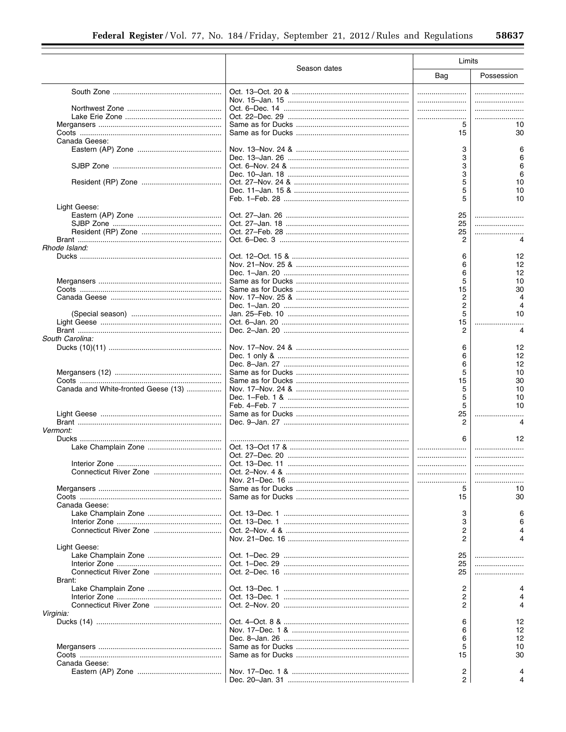|                                     |              | Limits                  |            |
|-------------------------------------|--------------|-------------------------|------------|
|                                     | Season dates | Bag                     | Possession |
|                                     |              |                         |            |
|                                     |              |                         |            |
|                                     |              |                         |            |
|                                     |              |                         |            |
|                                     |              | 5                       | 10         |
|                                     |              | 15                      | 30         |
| Canada Geese:                       |              |                         |            |
|                                     |              | 3                       |            |
|                                     |              | 3                       |            |
|                                     |              | 3                       | 6          |
|                                     |              | 3                       | 6          |
|                                     |              | 5                       | 10         |
|                                     |              | 5                       | 10         |
|                                     |              | 5                       | 10         |
| Light Geese:                        |              |                         |            |
|                                     |              | 25                      |            |
|                                     |              | 25                      |            |
|                                     |              | 25                      |            |
|                                     |              | 2                       |            |
| Rhode Island:                       |              |                         |            |
|                                     |              | 6                       | 12         |
|                                     |              | 6                       | 12         |
|                                     |              | 6                       | 12         |
|                                     |              | 5                       | 10         |
|                                     |              | 15                      | 30         |
|                                     |              | 2                       |            |
|                                     |              | $\overline{\mathbf{c}}$ |            |
|                                     |              | 5                       | 10         |
|                                     |              | 15                      |            |
|                                     |              | 2                       | 4          |
| South Carolina:                     |              |                         |            |
|                                     |              | 6                       | 12         |
|                                     |              | 6                       | 12         |
|                                     |              | 6                       | 12         |
|                                     |              | 5                       | 10         |
|                                     |              | 15                      | 30         |
| Canada and White-fronted Geese (13) |              | 5                       | 10         |
|                                     |              | 5                       | 10         |
|                                     |              | 5                       | 10         |
|                                     |              | 25<br>2                 |            |
|                                     |              |                         |            |
| Vermont:                            |              |                         | 12         |
|                                     |              |                         |            |
|                                     |              |                         |            |
|                                     |              |                         |            |
|                                     |              |                         |            |
|                                     |              |                         |            |
|                                     |              | 5                       | 10         |
|                                     |              | 15                      | 30         |
| Canada Geese:                       |              |                         |            |
|                                     |              | 3                       |            |
|                                     |              | 3                       |            |
| Connecticut River Zone              |              | 2                       |            |
|                                     |              | 2                       |            |
| Light Geese:                        |              |                         |            |
|                                     |              | 25                      |            |
|                                     |              | 25                      |            |
|                                     |              | 25                      |            |
| Brant:                              |              |                         |            |
|                                     |              | 2                       |            |
|                                     |              | 2                       |            |
|                                     |              | 2                       |            |
| Virginia:                           |              |                         |            |
|                                     |              | 6                       | 12         |
|                                     |              | 6                       | 12         |
|                                     |              | 6                       | 12         |
|                                     |              | 5                       | 10         |
|                                     |              | 15                      | 30         |
| Canada Geese:                       |              |                         |            |
|                                     |              | 2                       |            |
|                                     |              | $\overline{2}$          |            |
|                                     |              |                         |            |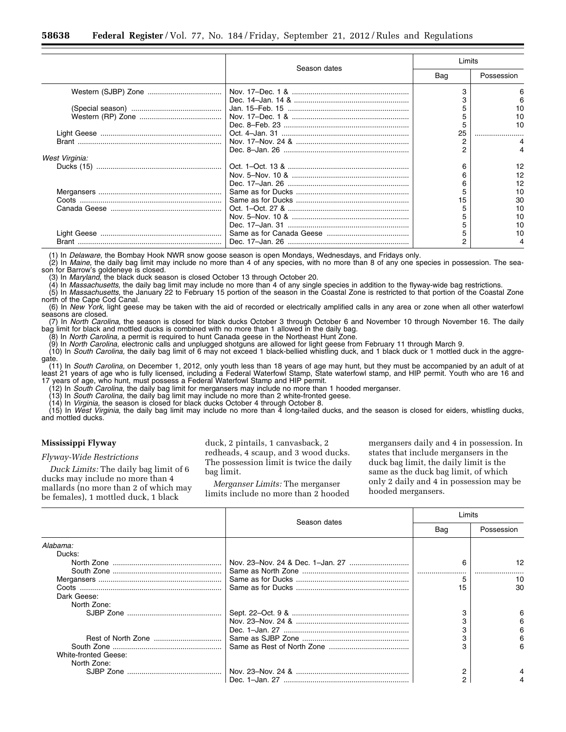|                | Season dates | Limits |            |  |
|----------------|--------------|--------|------------|--|
|                |              | Bag    | Possession |  |
|                |              |        | 6          |  |
|                |              |        |            |  |
|                |              |        | 10         |  |
|                |              |        |            |  |
|                |              |        | 10         |  |
|                |              |        |            |  |
|                |              |        |            |  |
|                |              |        |            |  |
| West Virginia: |              |        |            |  |
|                |              | ิค     | 12         |  |
|                |              |        |            |  |
|                |              |        | 12         |  |
|                |              |        |            |  |
|                |              |        | 10         |  |
|                |              |        | 30         |  |
|                |              |        | 10         |  |
|                |              |        | 10         |  |
|                |              |        | 10         |  |
|                |              |        | 10         |  |
|                |              |        |            |  |

(1) In *Delaware,* the Bombay Hook NWR snow goose season is open Mondays, Wednesdays, and Fridays only.

(2) In *Maine,* the daily bag limit may include no more than 4 of any species, with no more than 8 of any one species in possession. The season for Barrow's goldeneye is closed.

(3) In *Maryland,* the black duck season is closed October 13 through October 20.

(4) In *Massachusetts,* the daily bag limit may include no more than 4 of any single species in addition to the flyway-wide bag restrictions.

(5) In *Massachusetts,* the January 22 to February 15 portion of the season in the Coastal Zone is restricted to that portion of the Coastal Zone north of the Cape Cod Canal.

(6) In *New York,* light geese may be taken with the aid of recorded or electrically amplified calls in any area or zone when all other waterfowl seasons are closed.

(7) In *North Carolina,* the season is closed for black ducks October 3 through October 6 and November 10 through November 16. The daily bag limit for black and mottled ducks is combined with no more than 1 allowed in the daily bag.

(8) In *North Carolina,* a permit is required to hunt Canada geese in the Northeast Hunt Zone.

(9) In *North Carolina,* electronic calls and unplugged shotguns are allowed for light geese from February 11 through March 9.

(10) In *South Carolina,* the daily bag limit of 6 may not exceed 1 black-bellied whistling duck, and 1 black duck or 1 mottled duck in the aggregate.

(11) In *South Carolina,* on December 1, 2012, only youth less than 18 years of age may hunt, but they must be accompanied by an adult of at least 21 years of age who is fully licensed, including a Federal Waterfowl Stamp, State waterfowl stamp, and HIP permit. Youth who are 16 and 17 years of age, who hunt, must possess a Federal Waterfowl Stamp and HIP permit.

(12) In *South Carolina,* the daily bag limit for mergansers may include no more than 1 hooded merganser.

(13) In *South Carolina,* the daily bag limit may include no more than 2 white-fronted geese.

(14) In *Virginia,* the season is closed for black ducks October 4 through October 8.

(15) In *West Virginia,* the daily bag limit may include no more than 4 long-tailed ducks, and the season is closed for eiders, whistling ducks, and mottled ducks.

#### **Mississippi Flyway**

#### *Flyway-Wide Restrictions*

*Duck Limits:* The daily bag limit of 6 ducks may include no more than 4 mallards (no more than 2 of which may be females), 1 mottled duck, 1 black

duck, 2 pintails, 1 canvasback, 2 redheads, 4 scaup, and 3 wood ducks. The possession limit is twice the daily bag limit.

*Merganser Limits:* The merganser limits include no more than 2 hooded

mergansers daily and 4 in possession. In states that include mergansers in the duck bag limit, the daily limit is the same as the duck bag limit, of which only 2 daily and 4 in possession may be hooded mergansers.

|                      | Season dates | ∟imits |            |
|----------------------|--------------|--------|------------|
|                      |              | Bag    | Possession |
| Alabama:             |              |        |            |
| Ducks:               |              |        |            |
|                      |              | ิค     |            |
|                      |              |        |            |
|                      |              | 5      | 10         |
|                      |              | 15     | 30         |
| Dark Geese:          |              |        |            |
| North Zone:          |              |        |            |
|                      |              | З      |            |
|                      |              |        | 6          |
|                      |              |        |            |
|                      |              |        |            |
|                      |              |        |            |
| White-fronted Geese: |              |        |            |
| North Zone:          |              |        |            |
|                      |              | っ      |            |
|                      |              |        |            |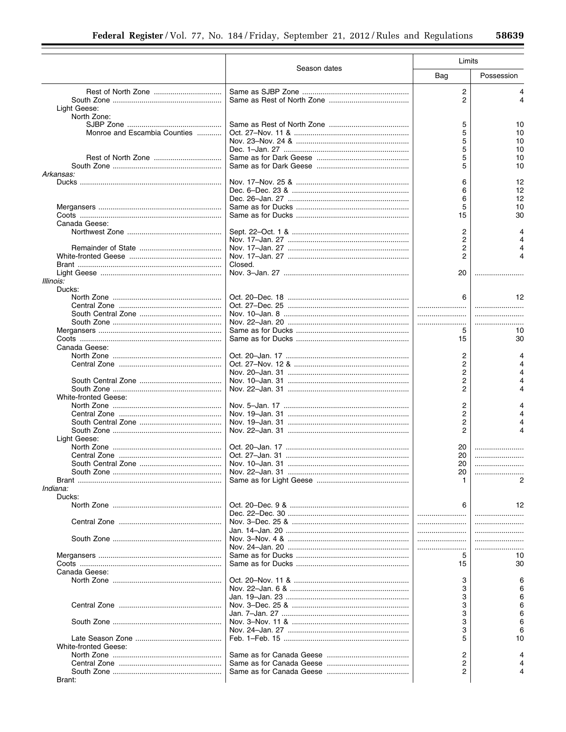|                              |              | Limits   |            |
|------------------------------|--------------|----------|------------|
|                              | Season dates | Bag      | Possession |
|                              |              | 2        | 4          |
|                              |              | 2        | 4          |
| Light Geese:                 |              |          |            |
| North Zone:                  |              |          |            |
|                              |              | 5        | 10         |
| Monroe and Escambia Counties |              | 5        | 10         |
|                              |              | 5        | 10         |
|                              |              | 5        | 10         |
|                              |              | 5<br>5   | 10         |
| Arkansas:                    |              |          | 10         |
|                              |              | 6        | 12         |
|                              |              | 6        | 12         |
|                              |              | 6        | 12         |
|                              |              | 5        | 10         |
|                              |              | 15       | 30         |
| Canada Geese:                |              |          |            |
|                              |              | 2        |            |
|                              |              | 2        |            |
|                              |              | 2        |            |
|                              |              | 2        |            |
|                              | Closed.      |          |            |
|                              |              | 20       |            |
| Illinois:                    |              |          |            |
| Ducks:                       |              |          |            |
|                              |              | 6        | 12         |
|                              |              |          |            |
|                              |              |          |            |
|                              |              |          |            |
|                              |              | 5        | 10         |
|                              |              | 15       | 30         |
| Canada Geese:                |              |          |            |
|                              |              | 2        |            |
|                              |              | 2        | Δ          |
|                              |              | 2        | 4          |
|                              |              | 2        |            |
|                              |              | 2        | 4          |
| White-fronted Geese:         |              |          |            |
|                              |              | 2        |            |
|                              |              | 2        |            |
|                              |              | 2        |            |
|                              |              | 2        |            |
| Light Geese:                 |              |          |            |
|                              |              | 20<br>20 |            |
|                              |              | 20       |            |
|                              |              | 20       |            |
|                              |              |          |            |
| Indiana:                     |              |          |            |
| Ducks:                       |              |          |            |
|                              |              | 6        | 12         |
|                              |              |          |            |
|                              |              |          |            |
|                              |              |          |            |
|                              |              |          |            |
|                              |              |          |            |
|                              |              | 5        | 10         |
|                              |              | 15       | 30         |
| Canada Geese:                |              |          |            |
|                              |              | 3        |            |
|                              |              | 3        |            |
|                              |              | 3        |            |
|                              |              | 3        |            |
|                              |              | 3        |            |
|                              |              | 3        |            |
|                              |              | 3        |            |
|                              |              | 5        | 10         |
| White-fronted Geese:         |              |          |            |
|                              |              | 2        |            |
|                              |              | 2        |            |
|                              |              | 2        |            |
| Brant:                       |              |          |            |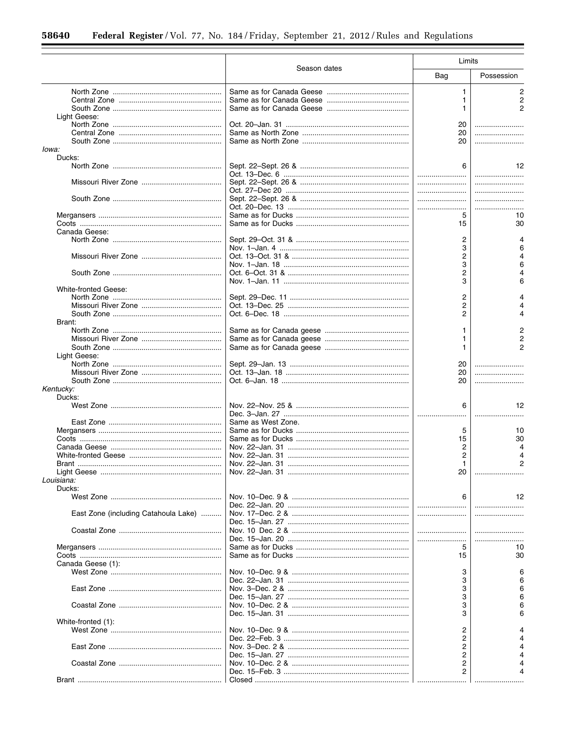|                                      | Season dates       | Limits |                |
|--------------------------------------|--------------------|--------|----------------|
|                                      |                    | Bag    | Possession     |
|                                      |                    | 1      | $\overline{c}$ |
|                                      |                    | 1      | 2              |
|                                      |                    | 1      | 2              |
| Light Geese:                         |                    |        |                |
|                                      |                    | 20     |                |
|                                      |                    | 20     |                |
|                                      |                    | 20     |                |
| lowa:                                |                    |        |                |
| Ducks:                               |                    |        |                |
|                                      |                    | 6      | 12             |
|                                      |                    |        |                |
|                                      |                    |        |                |
|                                      |                    |        |                |
|                                      |                    |        |                |
|                                      |                    |        |                |
|                                      |                    | 5      | 10             |
|                                      |                    | 15     | 30             |
| Canada Geese:                        |                    |        |                |
|                                      |                    | 2      |                |
|                                      |                    | 3      | 6              |
|                                      |                    | 2      |                |
|                                      |                    | 3      | 6              |
|                                      |                    | 2      |                |
|                                      |                    | 3      | 6              |
| <b>White-fronted Geese:</b>          |                    |        |                |
|                                      |                    | 2      |                |
|                                      |                    | 2      |                |
|                                      |                    | 2      |                |
| Brant:                               |                    |        |                |
|                                      |                    | 1      |                |
|                                      |                    | 1      |                |
|                                      |                    | 1      |                |
| Light Geese:                         |                    |        |                |
|                                      |                    | 20     |                |
|                                      |                    | 20     |                |
|                                      |                    | 20     |                |
| Kentucky:                            |                    |        |                |
| Ducks:                               |                    |        |                |
|                                      |                    | 6      | 12             |
|                                      |                    |        |                |
|                                      | Same as West Zone. |        |                |
|                                      |                    | 5      | 10             |
|                                      |                    | 15     | 30             |
|                                      |                    | 2      |                |
|                                      |                    | 2      |                |
|                                      |                    | 1      | 2              |
|                                      |                    | 20     |                |
| Louisiana:                           |                    |        |                |
| Ducks:                               |                    |        |                |
|                                      |                    | 6      | 12             |
|                                      |                    |        |                |
| East Zone (including Catahoula Lake) |                    |        |                |
|                                      |                    |        |                |
|                                      |                    |        |                |
|                                      |                    |        |                |
|                                      |                    |        |                |
|                                      |                    | 5      | 10             |
|                                      |                    | 15     | 30             |
| Canada Geese (1):                    |                    |        |                |
|                                      |                    | 3      |                |
|                                      |                    | 3      |                |
|                                      |                    | 3      |                |
|                                      |                    | 3      |                |
|                                      |                    | 3      |                |
|                                      |                    | 3      |                |
| White-fronted (1):                   |                    |        |                |
|                                      |                    | 2      |                |
|                                      |                    | 2      |                |
|                                      |                    | 2      |                |
|                                      |                    | 2      |                |
|                                      |                    | 2      |                |
|                                      |                    | 2      |                |
|                                      |                    |        |                |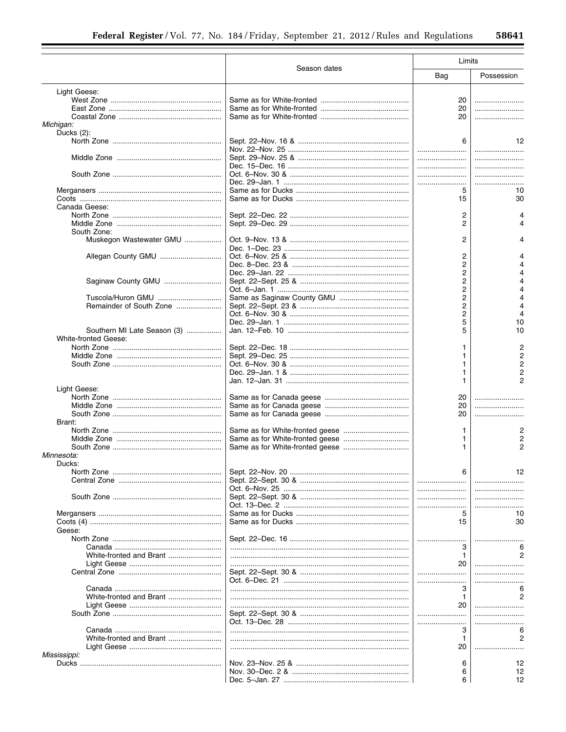|                             | Season dates | Limits         |            |
|-----------------------------|--------------|----------------|------------|
|                             |              | Bag            | Possession |
| Light Geese:                |              |                |            |
|                             |              | 20             |            |
|                             |              | 20             |            |
|                             |              | 20             |            |
| Michigan:                   |              |                |            |
| Ducks $(2)$ :               |              |                |            |
|                             |              | 6              | 12         |
|                             |              |                |            |
|                             |              |                |            |
|                             |              |                |            |
|                             |              |                |            |
|                             |              |                |            |
|                             |              | 5              | 10         |
|                             |              | 15             | 30         |
| Canada Geese:               |              |                |            |
|                             |              | 2              |            |
|                             |              | 2              |            |
| South Zone:                 |              |                |            |
| Muskegon Wastewater GMU     |              | $\overline{2}$ |            |
|                             |              |                |            |
| Allegan County GMU          |              | 2              |            |
|                             |              | 2              |            |
|                             |              | 2              |            |
| Saginaw County GMU          |              | 2              |            |
|                             |              | 2              |            |
| Tuscola/Huron GMU           |              | 2              |            |
| Remainder of South Zone     |              | 2              |            |
|                             |              | 2              |            |
|                             |              | 5              | 10         |
| Southern MI Late Season (3) |              | 5              | 10         |
| <b>White-fronted Geese:</b> |              |                |            |
|                             |              |                |            |
|                             |              |                |            |
|                             |              |                |            |
|                             |              |                |            |
|                             |              |                |            |
|                             |              |                |            |
| Light Geese:                |              |                |            |
|                             |              | 20             |            |
|                             |              | 20             |            |
|                             |              | 20             |            |
| Brant:                      |              |                |            |
|                             |              | 1              |            |
|                             |              |                |            |
|                             |              |                |            |
| Minnesota:                  |              |                |            |
| Ducks:                      |              |                |            |
|                             |              | 6              | 12         |
|                             |              |                |            |
|                             |              |                | .          |
|                             |              |                |            |
|                             |              |                | .          |
|                             |              | 5              | 10         |
|                             |              | 15             | 30         |
| Geese:                      |              |                |            |
|                             |              |                |            |
|                             |              | 3              |            |
| White-fronted and Brant     |              | $\mathbf{1}$   |            |
|                             |              | 20             |            |
|                             |              |                |            |
|                             |              |                |            |
|                             |              |                |            |
|                             |              | З              | 6          |
| White-fronted and Brant     |              | 1              | 2          |
|                             |              | 20             |            |
|                             |              |                |            |
|                             |              |                |            |
|                             |              | З              | 6          |
| White-fronted and Brant     |              | 1              |            |
|                             |              | 20             |            |
| Mississippi:                |              |                |            |
|                             |              | 6              | 12         |
|                             |              | 6              | 12         |
|                             |              | 6              | 12         |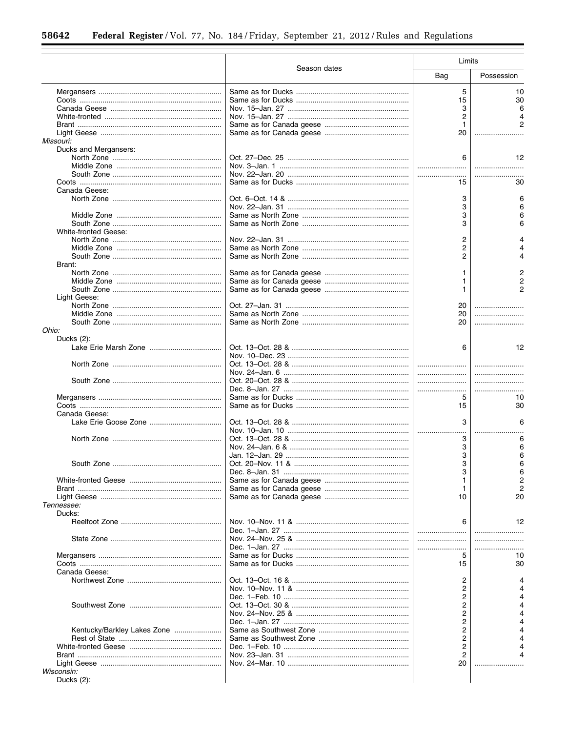۰

|                             | Season dates | Limits         |            |
|-----------------------------|--------------|----------------|------------|
|                             |              | Bag            | Possession |
|                             |              | 5              | 10         |
|                             |              | 15             | 30         |
|                             |              | 3              |            |
|                             |              | 2              |            |
|                             |              | 1              |            |
|                             |              | 20             |            |
| <b>Missouri:</b>            |              |                |            |
| Ducks and Mergansers:       |              |                |            |
|                             |              | 6              | 12         |
|                             |              |                |            |
|                             |              |                |            |
|                             |              |                |            |
|                             |              | 15             | 30         |
| Canada Geese:               |              |                |            |
|                             |              | 3              |            |
|                             |              | 3              |            |
|                             |              | 3              |            |
|                             |              | 3              |            |
| White-fronted Geese:        |              |                |            |
|                             |              | $\overline{c}$ |            |
|                             |              | 2              |            |
|                             |              | 2              |            |
| Brant:                      |              |                |            |
|                             |              |                |            |
|                             |              | 1              |            |
|                             |              | 1              |            |
|                             |              | 1              |            |
| Light Geese:                |              |                |            |
|                             |              | 20             |            |
|                             |              | 20             |            |
|                             |              | 20             |            |
| Ohio:                       |              |                |            |
| Ducks $(2)$ :               |              |                |            |
|                             |              | 6              | 12         |
|                             |              |                |            |
|                             |              |                |            |
|                             |              |                |            |
|                             |              |                |            |
|                             |              |                |            |
|                             |              |                |            |
|                             |              | 5              | 10         |
|                             |              | 15             | 30         |
| Canada Geese:               |              |                |            |
|                             |              | 3              | 6          |
|                             |              |                |            |
|                             |              | 3              | 6          |
|                             |              | 3              |            |
|                             |              | 3              |            |
|                             |              | 3              | 6          |
|                             |              | 3              | 6          |
|                             |              |                |            |
|                             |              | 1              |            |
|                             |              | 1              |            |
|                             |              | 10             | 20         |
| Tennessee:                  |              |                |            |
| Ducks:                      |              |                |            |
|                             |              | 6              | 12         |
|                             |              |                |            |
|                             |              |                | .          |
|                             |              |                |            |
|                             |              | 5              | 10         |
|                             |              | 15             | 30         |
| Canada Geese:               |              |                |            |
|                             |              | 2              |            |
|                             |              |                |            |
|                             |              | 2              |            |
|                             |              | 2              |            |
|                             |              | 2              |            |
|                             |              | 2              |            |
|                             |              | 2              |            |
| Kentucky/Barkley Lakes Zone |              | 2              |            |
|                             |              | 2              |            |
|                             |              | 2              |            |
|                             |              | 2              |            |
|                             |              | 20             |            |
| Wisconsin:                  |              |                |            |
|                             |              |                |            |
| Ducks $(2)$ :               |              |                |            |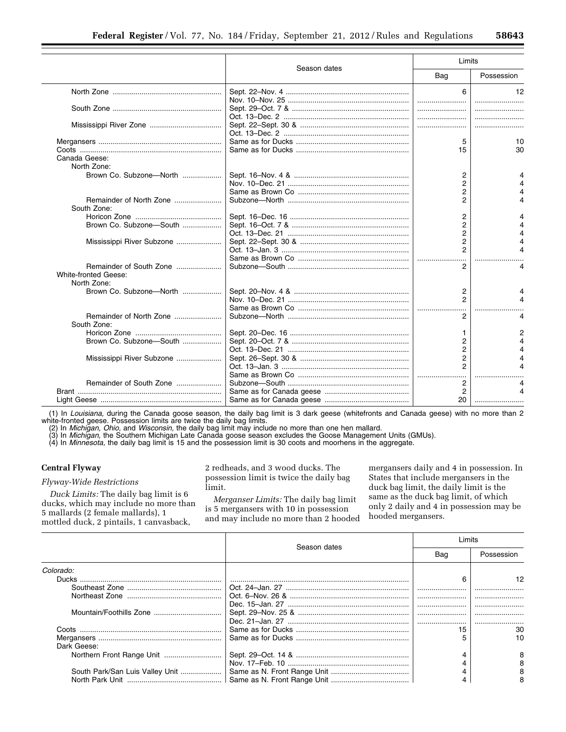|                                            |              | Limits         |                      |
|--------------------------------------------|--------------|----------------|----------------------|
|                                            | Season dates | Bag            | Possession           |
|                                            |              | 6              | 12                   |
|                                            |              |                |                      |
|                                            |              |                |                      |
|                                            |              | 5              | 10                   |
|                                            |              | 15             | 30                   |
| Canada Geese:<br>North Zone:               |              |                |                      |
| Brown Co. Subzone-North                    |              | 2              |                      |
|                                            |              | $\overline{2}$ |                      |
|                                            |              | 2              |                      |
| Remainder of North Zone<br>South Zone:     |              | 2              |                      |
|                                            |              | 2              |                      |
| Brown Co. Subzone-South                    |              | 2              |                      |
|                                            |              | $\overline{2}$ |                      |
| Mississippi River Subzone                  |              | $\overline{2}$ |                      |
|                                            |              |                | $\overline{\Lambda}$ |
| Remainder of South Zone                    |              | 2              | 4                    |
| <b>White-fronted Geese:</b><br>North Zone: |              |                |                      |
| Brown Co. Subzone-North                    |              | 2              |                      |
|                                            |              | $\mathfrak{p}$ |                      |
|                                            |              | .              |                      |
| Remainder of North Zone<br>South Zone:     |              | 2              |                      |
|                                            |              | 1              |                      |
| Brown Co. Subzone-South                    |              | 2              |                      |
|                                            |              | $\overline{2}$ |                      |
| Mississippi River Subzone                  |              | 2              |                      |
|                                            |              | 2              |                      |
|                                            |              |                |                      |
| Remainder of South Zone                    |              | 2<br>2         | 4                    |
|                                            |              | 20             |                      |
|                                            |              |                |                      |

(1) In *Louisiana,* during the Canada goose season, the daily bag limit is 3 dark geese (whitefronts and Canada geese) with no more than 2 white-fronted geese. Possession limits are twice the daily bag limits.

(2) In *Michigan, Ohio,* and *Wisconsin,* the daily bag limit may include no more than one hen mallard.

(3) In *Michigan,* the Southern Michigan Late Canada goose season excludes the Goose Management Units (GMUs).

(4) In *Minnesota,* the daily bag limit is 15 and the possession limit is 30 coots and moorhens in the aggregate.

# **Central Flyway**

## *Flyway-Wide Restrictions*

*Duck Limits:* The daily bag limit is 6 ducks, which may include no more than 5 mallards (2 female mallards), 1 mottled duck, 2 pintails, 1 canvasback,

2 redheads, and 3 wood ducks. The possession limit is twice the daily bag limit.

*Merganser Limits:* The daily bag limit is 5 mergansers with 10 in possession and may include no more than 2 hooded

mergansers daily and 4 in possession. In States that include mergansers in the duck bag limit, the daily limit is the same as the duck bag limit, of which only 2 daily and 4 in possession may be hooded mergansers.

|                                 | Season dates | _imits |            |
|---------------------------------|--------------|--------|------------|
|                                 |              | Bag    | Possession |
| Colorado:                       |              |        |            |
| Ducks                           |              |        | 12         |
|                                 |              |        |            |
|                                 |              |        |            |
|                                 |              |        |            |
|                                 |              |        |            |
|                                 |              |        |            |
|                                 |              | 15     | 30         |
|                                 |              |        | 10         |
| Dark Geese:                     |              |        |            |
|                                 |              |        | 8          |
|                                 |              |        |            |
| South Park/San Luis Valley Unit |              |        |            |
|                                 |              |        |            |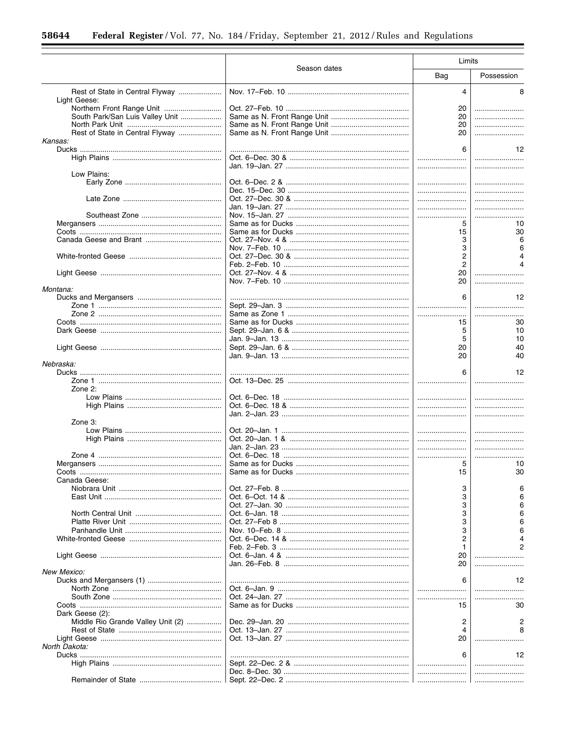|                                                 |              | Limits         |            |
|-------------------------------------------------|--------------|----------------|------------|
|                                                 | Season dates | Bag            | Possession |
| Rest of State in Central Flyway<br>Light Geese: |              | 4              | 8          |
| Northern Front Range Unit                       |              | 20             |            |
| South Park/San Luis Valley Unit                 |              | 20             |            |
|                                                 |              | 20             |            |
| Rest of State in Central Flyway                 |              | 20             |            |
| Kansas:                                         |              |                |            |
|                                                 |              | 6              | 12         |
|                                                 |              |                |            |
|                                                 |              |                |            |
|                                                 |              |                |            |
| Low Plains:                                     |              |                |            |
|                                                 |              |                |            |
|                                                 |              |                |            |
|                                                 |              |                |            |
|                                                 |              |                |            |
|                                                 |              | .              |            |
|                                                 |              | 5              | 10         |
|                                                 |              | 15             | 30         |
|                                                 |              | 3              | 6          |
|                                                 |              | 3              |            |
|                                                 |              | $\overline{c}$ |            |
|                                                 |              |                |            |
|                                                 |              | $\overline{c}$ |            |
|                                                 |              | 20             |            |
|                                                 |              | 20             |            |
| Montana:                                        |              |                |            |
|                                                 |              | 6              | 12         |
|                                                 |              |                |            |
|                                                 |              |                |            |
|                                                 |              | 15             | 30         |
|                                                 |              | 5              | 10         |
|                                                 |              | 5              | 10         |
|                                                 |              | 20             | 40         |
|                                                 |              |                |            |
|                                                 |              | 20             | 40         |
| Nebraska:                                       |              |                |            |
|                                                 |              | 6              | 12         |
|                                                 |              |                |            |
| Zone 2:                                         |              |                |            |
|                                                 |              |                |            |
|                                                 |              |                |            |
|                                                 |              |                |            |
| Zone 3:                                         |              |                |            |
|                                                 |              |                |            |
|                                                 |              |                |            |
|                                                 |              |                | .          |
|                                                 |              |                | .          |
|                                                 |              |                |            |
|                                                 |              | 5              | 10         |
|                                                 |              | 15             | 30         |
| Canada Geese:                                   |              |                |            |
|                                                 |              | З              |            |
|                                                 |              | 3              |            |
|                                                 |              | 3              |            |
|                                                 |              | 3              |            |
|                                                 |              | 3              |            |
|                                                 |              |                |            |
|                                                 |              | 3              |            |
|                                                 |              | 2              |            |
|                                                 |              | 1              |            |
|                                                 |              | 20             |            |
|                                                 |              | 20             |            |
| New Mexico:                                     |              |                |            |
|                                                 |              | 6              | 12         |
|                                                 |              |                |            |
|                                                 |              |                |            |
|                                                 |              | 15             | 30         |
|                                                 |              |                |            |
| Dark Geese (2):                                 |              |                |            |
| Middle Rio Grande Valley Unit (2)               |              | 2              |            |
|                                                 |              | 4              |            |
|                                                 |              | 20             |            |
| North Dakota:                                   |              |                |            |
|                                                 |              | 6              | 12         |
|                                                 |              |                |            |
|                                                 |              |                | .          |
|                                                 |              |                |            |
|                                                 |              |                |            |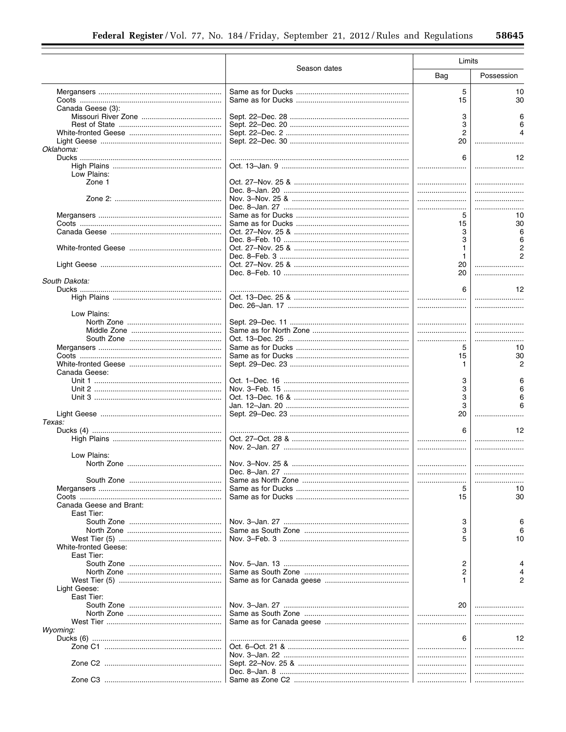|                         |              | Limits |            |
|-------------------------|--------------|--------|------------|
|                         | Season dates | Bag    | Possession |
|                         |              | 5      | 10         |
|                         |              | 15     | 30         |
| Canada Geese (3):       |              |        |            |
|                         |              | 3      |            |
|                         |              | 3      |            |
|                         |              | 2      |            |
|                         |              | 20     |            |
| Oklahoma:               |              |        |            |
|                         |              | 6      | 12         |
|                         |              |        |            |
| Low Plains:             |              |        |            |
| Zone 1                  |              |        |            |
|                         |              |        |            |
|                         |              |        |            |
|                         |              |        |            |
|                         |              | 5      | 10         |
|                         |              | 15     | 30         |
|                         |              | 3      |            |
|                         |              | 3      |            |
|                         |              |        |            |
|                         |              | 1      |            |
|                         |              | 20     |            |
|                         |              | 20     |            |
| South Dakota:           |              |        |            |
|                         |              | 6      | 12         |
|                         |              |        |            |
|                         |              |        |            |
| Low Plains:             |              |        |            |
|                         |              |        |            |
|                         |              |        |            |
|                         |              |        |            |
|                         |              | 5      | 10         |
|                         |              | 15     | 30         |
|                         |              | 1.     | 2          |
| Canada Geese:           |              |        |            |
|                         |              | 3      |            |
|                         |              | 3      |            |
|                         |              | 3      |            |
|                         |              | 3      |            |
|                         |              | 20     | .          |
| Texas:                  |              |        |            |
|                         |              | 6      | 12         |
|                         |              |        |            |
|                         |              |        |            |
| Low Plains:             |              |        |            |
|                         |              |        |            |
|                         |              |        |            |
|                         |              |        |            |
|                         |              | 5      | 10         |
|                         |              | 15     | 30         |
| Canada Geese and Brant: |              |        |            |
| East Tier:              |              |        |            |
|                         |              | 3      |            |
|                         |              | 3      |            |
|                         |              | 5      | 10         |
| White-fronted Geese:    |              |        |            |
| East Tier:              |              |        |            |
|                         |              | 2      |            |
|                         |              | 2      |            |
|                         |              |        |            |
| Light Geese:            |              |        |            |
| East Tier:              |              |        |            |
|                         |              | 20     |            |
|                         |              |        |            |
|                         |              |        |            |
| Wyoming:                |              |        |            |
|                         |              | 6      | 12         |
|                         |              |        |            |
|                         |              |        |            |
|                         |              |        |            |
|                         |              |        |            |
|                         |              |        |            |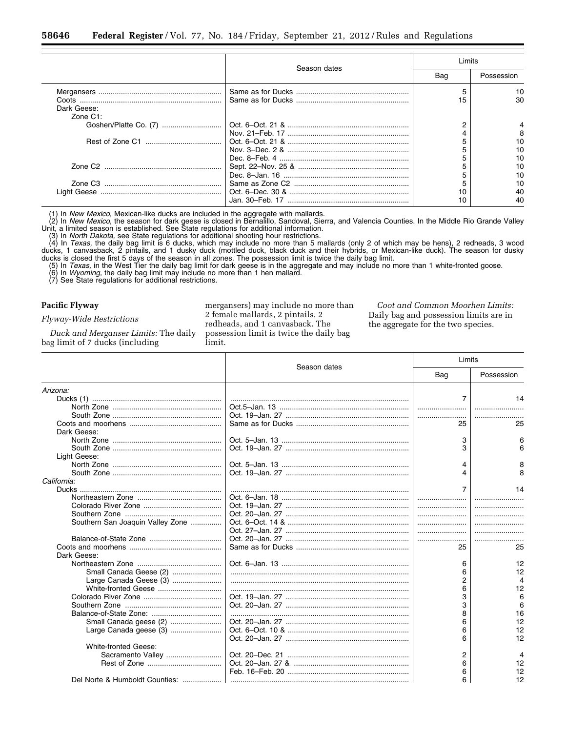|              |              | Limits |            |
|--------------|--------------|--------|------------|
|              | Season dates | Bag    | Possession |
|              |              |        | 10         |
|              |              |        | 30         |
| Dark Geese:  |              |        |            |
| $Zone$ $C1:$ |              |        |            |
|              |              |        |            |
|              |              |        | 8          |
|              |              |        | 10         |
|              |              |        | 10         |
|              |              |        | 10         |
|              |              |        | 10         |
|              |              |        | 10         |
|              |              |        | 10         |
|              |              |        | 40         |
|              |              |        | 40         |

(1) In *New Mexico,* Mexican-like ducks are included in the aggregate with mallards.

(2) In *New Mexico,* the season for dark geese is closed in Bernalillo, Sandoval, Sierra, and Valencia Counties. In the Middle Rio Grande Valley Unit, a limited season is established. See State regulations for additional information.

(3) In *North Dakota,* see State regulations for additional shooting hour restrictions.

(4) In *Texas,* the daily bag limit is 6 ducks, which may include no more than 5 mallards (only 2 of which may be hens), 2 redheads, 3 wood ducks, 1 canvasback, 2 pintails, and 1 dusky duck (mottled duck, black duck and their hybrids, or Mexican-like duck). The season for dusky ducks is closed the first 5 days of the season in all zones. The possession limit is twice the daily bag limit.

(5) In *Texas,* in the West Tier the daily bag limit for dark geese is in the aggregate and may include no more than 1 white-fronted goose.

(6) In *Wyoming,* the daily bag limit may include no more than 1 hen mallard.

(7) See State regulations for additional restrictions.

#### **Pacific Flyway**

*Flyway-Wide Restrictions* 

*Duck and Merganser Limits:* The daily bag limit of 7 ducks (including

mergansers) may include no more than 2 female mallards, 2 pintails, 2 redheads, and 1 canvasback. The possession limit is twice the daily bag limit.

*Coot and Common Moorhen Limits:*  Daily bag and possession limits are in the aggregate for the two species.

|                                  |              | Limits         |            |
|----------------------------------|--------------|----------------|------------|
|                                  | Season dates | Bag            | Possession |
| Arizona:                         |              |                |            |
|                                  |              | $\overline{7}$ | 14         |
|                                  |              |                |            |
|                                  |              |                |            |
|                                  |              | 25             | 25         |
| Dark Geese:                      |              |                |            |
|                                  |              | 3              | 6          |
|                                  |              | 3              | 6          |
| Light Geese:                     |              |                |            |
|                                  |              | 4              | 8          |
|                                  |              | 4              | я          |
| California:                      |              |                |            |
|                                  |              | $\overline{7}$ | 14         |
|                                  |              |                |            |
|                                  |              |                |            |
|                                  |              |                |            |
| Southern San Joaquin Valley Zone |              |                |            |
|                                  |              |                |            |
|                                  |              |                |            |
|                                  |              | 25             | 25         |
| Dark Geese:                      |              |                |            |
|                                  |              | 6              | 12         |
| Small Canada Geese (2)           |              | 6              | 12         |
| Large Canada Geese (3)           |              | $\overline{2}$ | Δ          |
|                                  |              | 6              | 12         |
|                                  |              | 3              | 6          |
|                                  |              | 3              | 6          |
|                                  |              | 8              | 16         |
|                                  |              | 6              | 12         |
| Large Canada geese (3)           |              | 6              | 12         |
|                                  |              | 6              | 12         |
| <b>White-fronted Geese:</b>      |              |                |            |
| Sacramento Valley                |              | 2              | 4          |
|                                  |              | 6              | 12         |
|                                  |              | 6              | 12         |
| Del Norte & Humboldt Counties:   |              | 6              | 12         |
|                                  |              |                |            |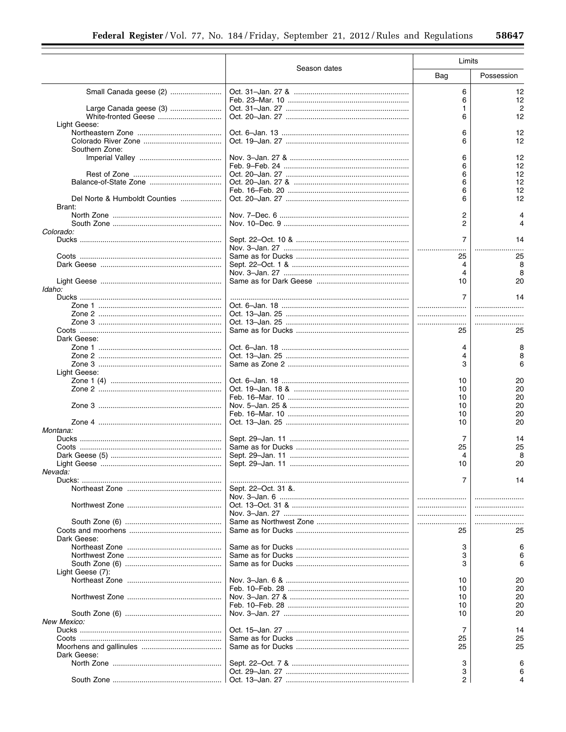|                                         | Season dates        | Limits         |            |
|-----------------------------------------|---------------------|----------------|------------|
|                                         |                     | Bag            | Possession |
|                                         |                     | 6              | 12         |
|                                         |                     | 6              | 12         |
| Large Canada geese (3)                  |                     | 1.             | 2          |
| White-fronted Geese                     |                     | 6              | 12         |
| Light Geese:                            |                     |                |            |
|                                         |                     | 6              | 12         |
|                                         |                     | 6              | 12         |
| Southern Zone:                          |                     |                |            |
|                                         |                     | 6              | 12         |
|                                         |                     | 6              | 12         |
|                                         |                     |                | 12         |
|                                         |                     | 6              |            |
|                                         |                     | 6              | 12         |
|                                         |                     | 6              | 12         |
| Del Norte & Humboldt Counties<br>Brant: |                     | 6              | 12         |
|                                         |                     | 2              |            |
|                                         |                     | 2              |            |
| Colorado:                               |                     |                |            |
|                                         |                     | 7              | 14         |
|                                         |                     |                |            |
|                                         |                     | 25             | 25         |
|                                         |                     | 4              | 8          |
|                                         |                     | 4              | 8          |
|                                         |                     | 10             | 20         |
| Idaho:                                  |                     |                |            |
|                                         |                     | $\overline{7}$ | 14         |
|                                         |                     |                |            |
|                                         |                     |                |            |
|                                         |                     |                |            |
|                                         |                     |                |            |
|                                         |                     | 25             | 25         |
| Dark Geese:                             |                     |                |            |
|                                         |                     | 4              | 8          |
|                                         |                     | 4              | 8          |
|                                         |                     | 3              | 6          |
| Light Geese:                            |                     |                |            |
|                                         |                     | 10             | 20         |
|                                         |                     | 10             | 20         |
|                                         |                     | 10             | 20         |
|                                         |                     |                |            |
|                                         |                     | 10             | 20         |
|                                         |                     | 10             | 20         |
|                                         |                     | 10             | 20         |
| Montana:                                |                     |                |            |
|                                         |                     | 7              | 14         |
|                                         |                     | 25             | 25         |
|                                         |                     | 4              | 8          |
|                                         |                     | 10             | 20         |
| Nevada:                                 |                     |                |            |
|                                         |                     | 7              | 14         |
|                                         | Sept. 22-Oct. 31 &. |                |            |
|                                         |                     |                |            |
|                                         |                     |                |            |
|                                         |                     |                |            |
|                                         |                     |                |            |
|                                         |                     |                | 25         |
|                                         |                     | 25             |            |
| Dark Geese:                             |                     |                |            |
|                                         |                     | 3              | 6          |
|                                         |                     | 3              |            |
|                                         |                     | 3              |            |
| Light Geese (7):                        |                     |                |            |
|                                         |                     | 10             | 20         |
|                                         |                     | 10             | 20         |
|                                         |                     | 10             | 20         |
|                                         |                     | 10             | 20         |
|                                         |                     | 10             | 20         |
| New Mexico:                             |                     |                |            |
|                                         |                     | 7              | 14         |
|                                         |                     |                | 25         |
|                                         |                     | 25             |            |
|                                         |                     | 25             | 25         |
| Dark Geese:                             |                     |                |            |
|                                         |                     | 3              |            |
|                                         |                     | 3              |            |
|                                         |                     | 2              |            |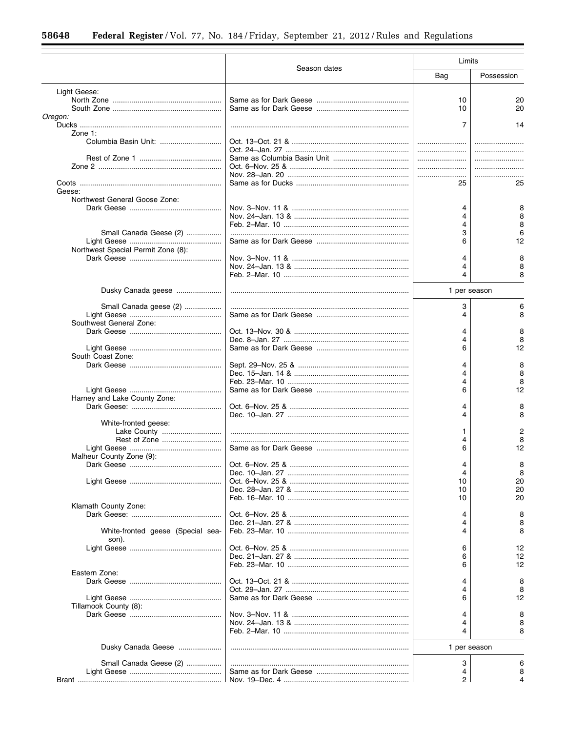|                                            |              | Limits       |            |
|--------------------------------------------|--------------|--------------|------------|
|                                            | Season dates | Bag          | Possession |
| Light Geese:                               |              |              |            |
|                                            |              | 10           | 20         |
|                                            |              | 10           | 20         |
| Oregon:                                    |              |              |            |
|                                            |              | 7            | 14         |
| Zone $1$ :                                 |              |              |            |
|                                            |              |              |            |
|                                            |              |              |            |
|                                            |              |              |            |
|                                            |              |              |            |
|                                            |              | 25           | 25         |
| Geese:                                     |              |              |            |
| Northwest General Goose Zone:              |              |              |            |
|                                            |              | 4            | 8          |
|                                            |              | 4            | 8          |
|                                            |              | 4            | 8          |
| Small Canada Geese (2)                     |              | 3            | 6          |
|                                            |              | 6            | 12         |
| Northwest Special Permit Zone (8):         |              |              |            |
|                                            |              | 4<br>4       | 8<br>8     |
|                                            |              | 4            | 8          |
|                                            |              |              |            |
| Dusky Canada geese                         |              | 1 per season |            |
| Small Canada geese (2)                     |              | 3            | 6          |
|                                            |              | 4            | 8          |
| Southwest General Zone:                    |              |              |            |
|                                            |              | 4            | 8          |
|                                            |              | 4            | 8          |
|                                            |              | 6            | 12         |
| South Coast Zone:                          |              |              |            |
|                                            |              | 4            | 8          |
|                                            |              | 4            | 8          |
|                                            |              | 4            | 8          |
|                                            |              | 6            | 12         |
| Harney and Lake County Zone:               |              |              |            |
|                                            |              | 4<br>4       | 8<br>8     |
| White-fronted geese:                       |              |              |            |
|                                            |              | 1            | 2          |
| Rest of Zone                               |              | 4            | 8          |
|                                            |              | 6            | 12         |
| Malheur County Zone (9):                   |              |              |            |
|                                            |              | 4            |            |
|                                            |              | 4            | 8          |
|                                            |              | 10           | 20         |
|                                            |              | 10           | 20         |
|                                            |              | 10           | 20         |
| Klamath County Zone:                       |              |              |            |
|                                            |              | 4            | 8          |
|                                            |              | 4            | 8          |
| White-fronted geese (Special sea-<br>son). |              | 4            | 8          |
|                                            |              | 6            | 12         |
|                                            |              | 6            | 12         |
|                                            |              | 6            | 12         |
| Eastern Zone:                              |              |              |            |
|                                            |              | 4            | 8          |
|                                            |              | 4<br>6       | 8          |
| Tillamook County (8):                      |              |              | 12         |
|                                            |              | 4            | 8          |
|                                            |              | 4            | 8          |
|                                            |              | 4            | 8          |
|                                            |              |              |            |
| Dusky Canada Geese                         |              | 1 per season |            |
| Small Canada Geese (2)                     |              | 3            | 6          |
|                                            |              | 4            | 8          |
|                                            |              | 2            |            |
|                                            |              |              |            |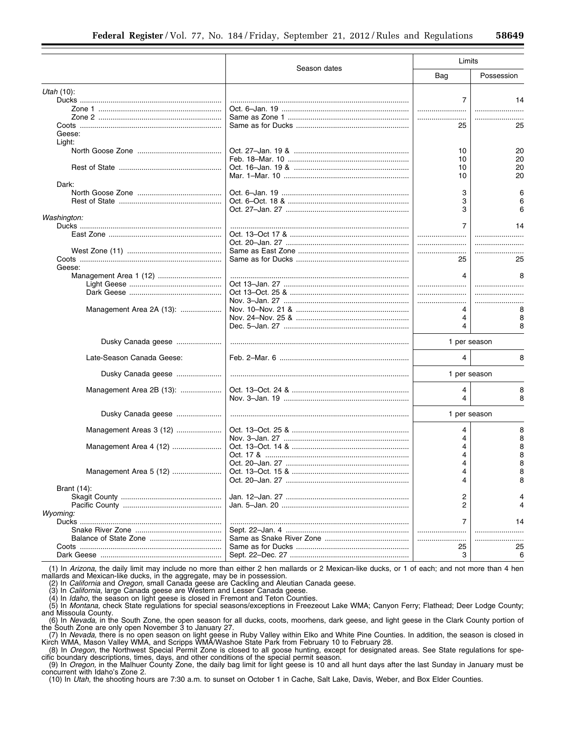|                           |                                  | Limits       |            |  |
|---------------------------|----------------------------------|--------------|------------|--|
|                           | Season dates                     | Bag          | Possession |  |
| Utah $(10)$ :             |                                  |              |            |  |
|                           |                                  | 7            | 14         |  |
|                           |                                  |              |            |  |
|                           |                                  |              |            |  |
|                           |                                  |              |            |  |
|                           |                                  | 25           | 25         |  |
| Geese:<br>Light:          |                                  |              |            |  |
|                           |                                  | 10           | 20         |  |
|                           |                                  | 10           | 20         |  |
|                           |                                  | 10           | 20         |  |
|                           |                                  | 10           | 20         |  |
|                           |                                  |              |            |  |
| Dark:                     |                                  |              |            |  |
|                           |                                  | 3            | 6          |  |
|                           |                                  | 3            |            |  |
|                           |                                  | 3            | 6          |  |
| Washington:               |                                  |              |            |  |
|                           |                                  | 7            |            |  |
|                           |                                  |              | 14         |  |
|                           |                                  |              |            |  |
|                           |                                  |              |            |  |
|                           |                                  |              |            |  |
|                           |                                  | 25           | 25         |  |
| Geese:                    |                                  |              |            |  |
|                           |                                  |              |            |  |
|                           |                                  | 4            | 8          |  |
|                           |                                  |              |            |  |
|                           |                                  |              |            |  |
|                           |                                  |              | .          |  |
| Management Area 2A (13):  |                                  |              | 8          |  |
|                           |                                  | 4            | 8          |  |
|                           |                                  | 4            | 8          |  |
|                           |                                  |              |            |  |
| Dusky Canada geese        |                                  | 1 per season |            |  |
| Late-Season Canada Geese: |                                  | 4            | 8          |  |
|                           |                                  |              |            |  |
| Dusky Canada geese        |                                  | 1 per season |            |  |
| Management Area 2B (13):  |                                  | 4            | 8          |  |
|                           |                                  | 4            | 8          |  |
|                           |                                  |              |            |  |
| Dusky Canada geese        |                                  | 1 per season |            |  |
| Management Areas 3 (12)   |                                  | 4            | 8          |  |
|                           |                                  |              |            |  |
|                           |                                  | 4            | 8          |  |
| Management Area 4 (12)    |                                  |              | 8          |  |
|                           | Oct. 17 & ………………………………………………………… |              | 8          |  |
|                           |                                  |              | 8          |  |
| Management Area 5 (12)    |                                  |              | 8          |  |
|                           |                                  | 4            | 8          |  |
|                           |                                  |              |            |  |
| Brant (14):               |                                  |              |            |  |
|                           |                                  | 2            |            |  |
|                           |                                  | 2            |            |  |
| Wyoming:                  |                                  |              |            |  |
|                           |                                  | 7            | 14         |  |
|                           |                                  |              |            |  |
|                           |                                  |              |            |  |
|                           |                                  | .            |            |  |
|                           |                                  | 25           | 25         |  |
|                           |                                  | 3            | 6          |  |

(1) In *Arizona,* the daily limit may include no more than either 2 hen mallards or 2 Mexican-like ducks, or 1 of each; and not more than 4 hen mallards and Mexican-like ducks, in the aggregate, may be in possession.

(2) In *California* and *Oregon,* small Canada geese are Cackling and Aleutian Canada geese.

(3) In *California,* large Canada geese are Western and Lesser Canada geese.

(4) In *Idaho,* the season on light geese is closed in Fremont and Teton Counties.

(5) In *Montana,* check State regulations for special seasons/exceptions in Freezeout Lake WMA; Canyon Ferry; Flathead; Deer Lodge County; and Missoula County.

(6) In *Nevada,* in the South Zone, the open season for all ducks, coots, moorhens, dark geese, and light geese in the Clark County portion of the South Zone are only open November 3 to January 27.

(7) In *Nevada,* there is no open season on light geese in Ruby Valley within Elko and White Pine Counties. In addition, the season is closed in Kirch WMA, Mason Valley WMA, and Scripps WMA/Washoe State Park from February 10 to February 28.

(8) In *Oregon,* the Northwest Special Permit Zone is closed to all goose hunting, except for designated areas. See State regulations for specific boundary descriptions, times, days, and other conditions of the special permit season.

(9) In *Oregon,* in the Malhuer County Zone, the daily bag limit for light geese is 10 and all hunt days after the last Sunday in January must be concurrent with Idaho's Zone 2.

(10) In *Utah,* the shooting hours are 7:30 a.m. to sunset on October 1 in Cache, Salt Lake, Davis, Weber, and Box Elder Counties.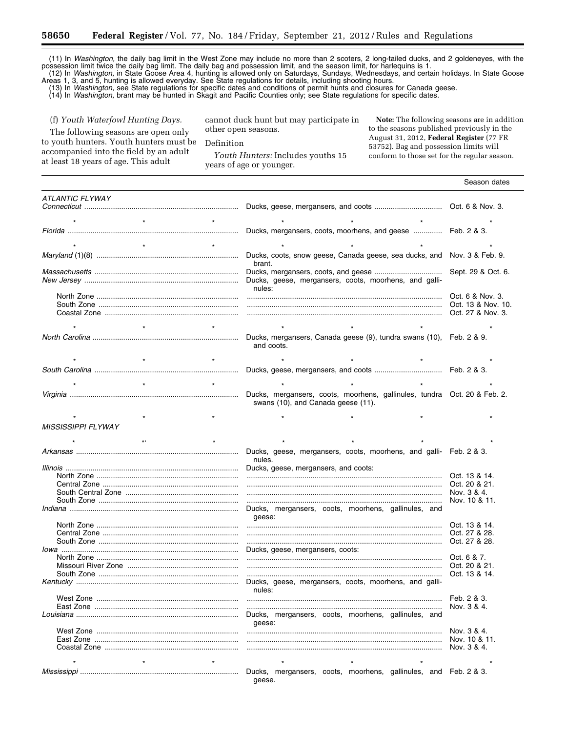(11) In *Washington,* the daily bag limit in the West Zone may include no more than 2 scoters, 2 long-tailed ducks, and 2 goldeneyes, with the possession limit twice the daily bag limit. The daily bag and possession limit, and the season limit, for harlequins is 1. (12) In *Washington,* in State Goose Area 4, hunting is allowed only on Saturdays, Sundays, Wednesdays, and certain holidays. In State Goose

Areas 1, 3, and 5, hunting is allowed everyday. See State regulations for details, including shooting hours.

(13) In *Washington,* see State regulations for specific dates and conditions of permit hunts and closures for Canada geese.

(14) In *Washington,* brant may be hunted in Skagit and Pacific Counties only; see State regulations for specific dates.

(f) *Youth Waterfowl Hunting Days.* 

The following seasons are open only to youth hunters. Youth hunters must be accompanied into the field by an adult at least 18 years of age. This adult

cannot duck hunt but may participate in other open seasons.

Definition

*Youth Hunters:* Includes youths 15 years of age or younger.

**Note:** The following seasons are in addition to the seasons published previously in the August 31, 2012, **Federal Register** (77 FR 53752). Bag and possession limits will conform to those set for the regular season.

|                           |  |        |                                                                     |  |  | Season dates                                                             |
|---------------------------|--|--------|---------------------------------------------------------------------|--|--|--------------------------------------------------------------------------|
| ATLANTIC FLYWAY           |  |        |                                                                     |  |  |                                                                          |
|                           |  |        |                                                                     |  |  |                                                                          |
|                           |  |        |                                                                     |  |  |                                                                          |
|                           |  |        | Ducks, mergansers, coots, moorhens, and geese  Feb. 2 & 3.          |  |  |                                                                          |
|                           |  |        |                                                                     |  |  |                                                                          |
|                           |  |        |                                                                     |  |  |                                                                          |
|                           |  |        | Ducks, coots, snow geese, Canada geese, sea ducks, and              |  |  | Nov. 3 & Feb. 9.                                                         |
|                           |  | brant. |                                                                     |  |  |                                                                          |
|                           |  |        | Ducks, geese, mergansers, coots, moorhens, and galli-               |  |  | Sept. 29 & Oct. 6.                                                       |
|                           |  | nules: |                                                                     |  |  |                                                                          |
|                           |  |        |                                                                     |  |  | Oct. 6 & Nov. 3.                                                         |
|                           |  |        |                                                                     |  |  | Oct. 13 & Nov. 10.                                                       |
|                           |  |        |                                                                     |  |  | Oct. 27 & Nov. 3.                                                        |
|                           |  |        |                                                                     |  |  |                                                                          |
|                           |  |        | Ducks, mergansers, Canada geese (9), tundra swans (10), Feb. 2 & 9. |  |  |                                                                          |
|                           |  |        | and coots.                                                          |  |  |                                                                          |
|                           |  |        |                                                                     |  |  |                                                                          |
|                           |  |        |                                                                     |  |  |                                                                          |
|                           |  |        |                                                                     |  |  |                                                                          |
|                           |  |        |                                                                     |  |  |                                                                          |
|                           |  |        |                                                                     |  |  | Ducks, mergansers, coots, moorhens, gallinules, tundra Oct. 20 & Feb. 2. |
|                           |  |        | swans (10), and Canada geese (11).                                  |  |  |                                                                          |
|                           |  |        |                                                                     |  |  |                                                                          |
| <b>MISSISSIPPI FLYWAY</b> |  |        |                                                                     |  |  |                                                                          |
|                           |  |        |                                                                     |  |  |                                                                          |
|                           |  |        | Ducks, geese, mergansers, coots, moorhens, and galli- Feb. 2 & 3.   |  |  |                                                                          |
|                           |  | nules. |                                                                     |  |  |                                                                          |
|                           |  |        | Ducks, geese, mergansers, and coots:                                |  |  |                                                                          |
|                           |  |        |                                                                     |  |  | Oct. 13 & 14.<br>Oct. 20 & 21.                                           |
|                           |  |        |                                                                     |  |  | Nov. 3 & 4.                                                              |
|                           |  |        |                                                                     |  |  | Nov. 10 & 11.                                                            |
|                           |  |        | Ducks, mergansers, coots, moorhens, gallinules, and                 |  |  |                                                                          |
|                           |  | qeese: |                                                                     |  |  |                                                                          |
|                           |  |        |                                                                     |  |  | Oct. 13 & 14.<br>Oct. 27 & 28.                                           |
|                           |  |        |                                                                     |  |  | Oct. 27 & 28.                                                            |
|                           |  |        | Ducks, geese, mergansers, coots:                                    |  |  |                                                                          |
|                           |  |        |                                                                     |  |  |                                                                          |
|                           |  |        |                                                                     |  |  | Oct. 20 & 21.<br>Oct. 13 & 14.                                           |
|                           |  |        | Ducks, geese, mergansers, coots, moorhens, and galli-               |  |  |                                                                          |
|                           |  | nules: |                                                                     |  |  |                                                                          |
|                           |  |        |                                                                     |  |  | Feb. 2 & 3.                                                              |
|                           |  |        | Ducks, mergansers, coots, moorhens, gallinules, and                 |  |  | Nov. 3 & 4.                                                              |
|                           |  | geese: |                                                                     |  |  |                                                                          |
|                           |  |        |                                                                     |  |  | Nov. 3 & 4.                                                              |
|                           |  |        |                                                                     |  |  | Nov. 10 & 11.                                                            |
|                           |  |        |                                                                     |  |  | Nov. 3 & 4.                                                              |
|                           |  |        |                                                                     |  |  |                                                                          |
|                           |  |        | Ducks, mergansers, coots, moorhens, gallinules, and Feb. 2 & 3.     |  |  |                                                                          |
|                           |  | geese. |                                                                     |  |  |                                                                          |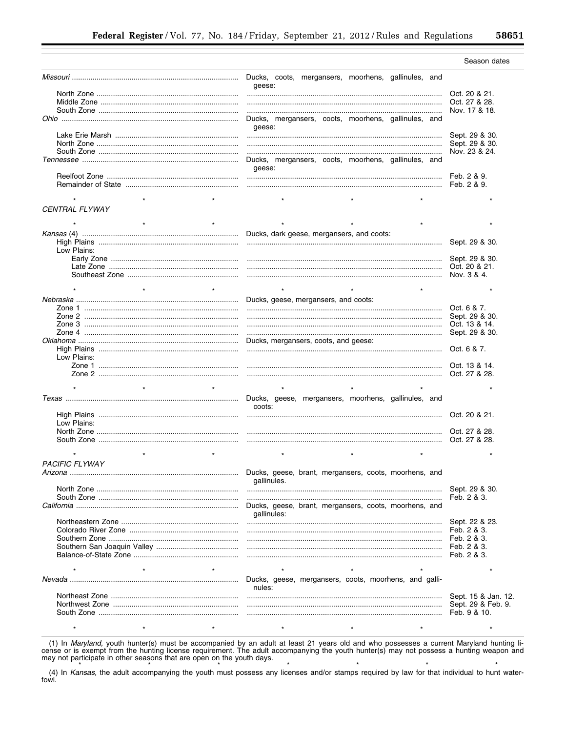|                       |                                                                      | Season dates        |
|-----------------------|----------------------------------------------------------------------|---------------------|
|                       | geese:                                                               |                     |
|                       |                                                                      | Oct. 20 & 21.       |
|                       |                                                                      | Oct. 27 & 28.       |
|                       |                                                                      | Nov. 17 & 18.       |
|                       | Ducks, mergansers, coots, moorhens, gallinules, and                  |                     |
|                       | geese:                                                               |                     |
|                       |                                                                      | Sept. 29 & 30.      |
|                       |                                                                      |                     |
|                       |                                                                      | Sept. 29 & 30.      |
|                       |                                                                      | Nov. 23 & 24.       |
|                       | Ducks, mergansers, coots, moorhens, gallinules, and<br>geese:        |                     |
|                       |                                                                      | Feb. 2 & 9.         |
|                       |                                                                      | Feb. 2 & 9.         |
|                       |                                                                      |                     |
|                       |                                                                      |                     |
| <b>CENTRAL FLYWAY</b> |                                                                      |                     |
|                       |                                                                      |                     |
|                       | Ducks, dark geese, mergansers, and coots:                            |                     |
|                       |                                                                      | Sept. 29 & 30.      |
|                       |                                                                      |                     |
| Low Plains:           |                                                                      |                     |
|                       |                                                                      |                     |
|                       |                                                                      |                     |
|                       |                                                                      |                     |
|                       |                                                                      |                     |
|                       |                                                                      |                     |
|                       | Ducks, geese, mergansers, and coots:                                 |                     |
|                       |                                                                      |                     |
|                       |                                                                      |                     |
|                       |                                                                      |                     |
|                       |                                                                      |                     |
|                       | Ducks, mergansers, coots, and geese:                                 |                     |
|                       |                                                                      |                     |
| Low Plains:           |                                                                      |                     |
|                       |                                                                      |                     |
|                       |                                                                      |                     |
|                       |                                                                      |                     |
|                       |                                                                      |                     |
|                       |                                                                      |                     |
|                       | Ducks, geese, mergansers, moorhens, gallinules, and<br>coots:        |                     |
|                       |                                                                      |                     |
| Low Plains:           |                                                                      |                     |
|                       |                                                                      |                     |
|                       |                                                                      |                     |
|                       |                                                                      |                     |
|                       |                                                                      |                     |
| <b>PACIFIC FLYWAY</b> |                                                                      |                     |
| Arizona               | Ducks, geese, brant, mergansers, coots, moorhens, and                |                     |
|                       | gallinules.                                                          |                     |
|                       |                                                                      | Sept. 29 & 30.      |
|                       |                                                                      | Feb. 2 & 3.         |
|                       |                                                                      |                     |
|                       | Ducks, geese, brant, mergansers, coots, moorhens, and<br>gallinules: |                     |
|                       |                                                                      | Sept. 22 & 23.      |
|                       |                                                                      | Feb. 2 & 3.         |
|                       |                                                                      | Feb. 2 & 3.         |
|                       |                                                                      |                     |
|                       |                                                                      | Feb. 2 & 3.         |
|                       |                                                                      |                     |
|                       |                                                                      |                     |
|                       | Ducks, geese, mergansers, coots, moorhens, and galli-                |                     |
|                       | nules:                                                               |                     |
|                       |                                                                      |                     |
|                       |                                                                      | Sept. 15 & Jan. 12. |
|                       |                                                                      | Sept. 29 & Feb. 9.  |
|                       |                                                                      | Feb. 9 & 10.        |
|                       |                                                                      |                     |

(1) In Maryland, youth hunter(s) must be accompanied by an adult at least 21 years old and who possesses a current Maryland hunting license or is exempt from the hunting license requirement. The adult accompanying the youth hunter(s) may not possess a hunting weapon and may not participate in other seasons that are open on the youth days.

(4) In Kansas, the adult accompanying the youth must possess any licenses and/or stamps required by law for that individual to hunt water-fowl.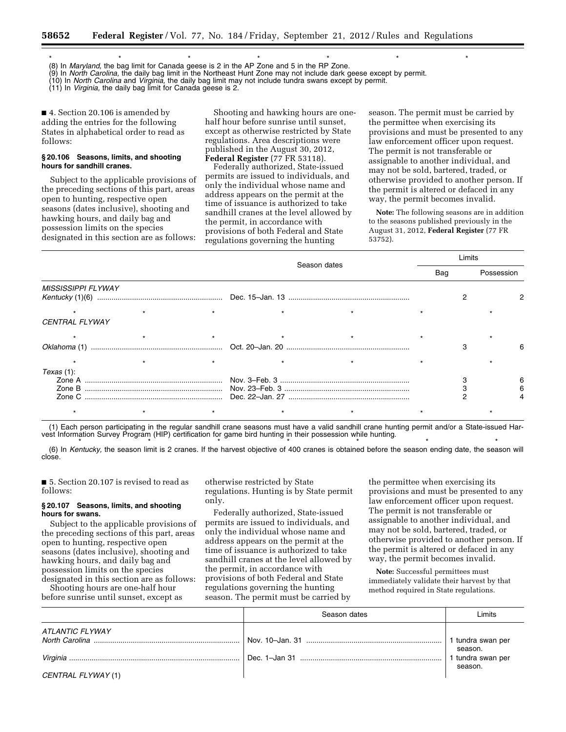\*\*\*\*\*\*\* (8) In *Maryland,* the bag limit for Canada geese is 2 in the AP Zone and 5 in the RP Zone.

(9) In *North Carolina,* the daily bag limit in the Northeast Hunt Zone may not include dark geese except by permit.

(10) In *North Carolina* and *Virginia,* the daily bag limit may not include tundra swans except by permit.

(11) In *Virginia,* the daily bag limit for Canada geese is 2.

■ 4. Section 20.106 is amended by adding the entries for the following States in alphabetical order to read as follows:

#### **§ 20.106 Seasons, limits, and shooting hours for sandhill cranes.**

Subject to the applicable provisions of the preceding sections of this part, areas open to hunting, respective open seasons (dates inclusive), shooting and hawking hours, and daily bag and possession limits on the species designated in this section are as follows:

Shooting and hawking hours are onehalf hour before sunrise until sunset, except as otherwise restricted by State regulations. Area descriptions were published in the August 30, 2012, **Federal Register** (77 FR 53118).

Federally authorized, State-issued permits are issued to individuals, and only the individual whose name and address appears on the permit at the time of issuance is authorized to take sandhill cranes at the level allowed by the permit, in accordance with provisions of both Federal and State regulations governing the hunting

season. The permit must be carried by the permittee when exercising its provisions and must be presented to any law enforcement officer upon request. The permit is not transferable or assignable to another individual, and may not be sold, bartered, traded, or otherwise provided to another person. If the permit is altered or defaced in any way, the permit becomes invalid.

**Note:** The following seasons are in addition to the seasons published previously in the August 31, 2012, **Federal Register** (77 FR 53752).

|                           |  |              |     | _imits |            |
|---------------------------|--|--------------|-----|--------|------------|
|                           |  | Season dates | Bag |        | Possession |
| <b>MISSISSIPPI FLYWAY</b> |  |              |     |        |            |
| <b>CENTRAL FLYWAY</b>     |  |              |     |        |            |
|                           |  |              |     |        |            |
|                           |  |              |     |        |            |
| Texas (1):                |  |              |     |        |            |
|                           |  |              |     |        |            |

(1) Each person participating in the regular sandhill crane seasons must have a valid sandhill crane hunting permit and/or a State-issued Harvest Information Survey Program (HIP) certification for game bird hunting in their possession while hunting.

\* \* \* \* \* \* \* \* \* \* \* \* \* \* \* (6) In *Kentucky,* the season limit is 2 cranes. If the harvest objective of 400 cranes is obtained before the season ending date, the season will close.

■ 5. Section 20.107 is revised to read as follows:

#### **§ 20.107 Seasons, limits, and shooting hours for swans.**

Subject to the applicable provisions of the preceding sections of this part, areas open to hunting, respective open seasons (dates inclusive), shooting and hawking hours, and daily bag and possession limits on the species designated in this section are as follows:

Shooting hours are one-half hour before sunrise until sunset, except as

otherwise restricted by State regulations. Hunting is by State permit only.

Federally authorized, State-issued permits are issued to individuals, and only the individual whose name and address appears on the permit at the time of issuance is authorized to take sandhill cranes at the level allowed by the permit, in accordance with provisions of both Federal and State regulations governing the hunting season. The permit must be carried by

the permittee when exercising its provisions and must be presented to any law enforcement officer upon request. The permit is not transferable or assignable to another individual, and may not be sold, bartered, traded, or otherwise provided to another person. If the permit is altered or defaced in any way, the permit becomes invalid.

**Note:** Successful permittees must immediately validate their harvest by that method required in State regulations.

|                        | Season dates | Limits                       |
|------------------------|--------------|------------------------------|
| <b>ATLANTIC FLYWAY</b> |              | 1 tundra swan per            |
|                        |              | season.<br>1 tundra swan per |
| CENTRAL FLYWAY (1)     |              | season.                      |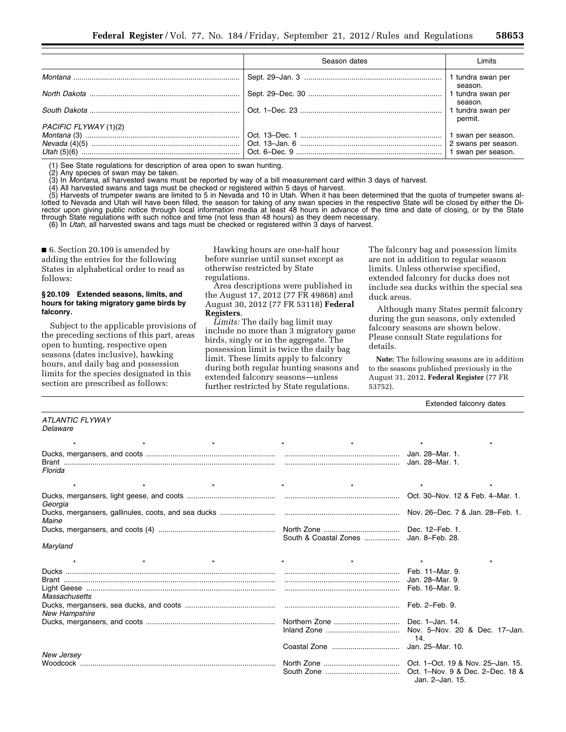|                       | Season dates | Limits                                                          |
|-----------------------|--------------|-----------------------------------------------------------------|
|                       |              | 1 tundra swan per<br>season.                                    |
|                       |              | 1 tundra swan per                                               |
|                       |              | season.<br>1 tundra swan per<br>permit.                         |
| PACIFIC FLYWAY (1)(2) |              | 1 swan per season.<br>2 swans per season.<br>1 swan per season. |

(1) See State regulations for description of area open to swan hunting.

(2) Any species of swan may be taken.

(3) In *Montana,* all harvested swans must be reported by way of a bill measurement card within 3 days of harvest.

(4) All harvested swans and tags must be checked or registered within 5 days of harvest.

(5) Harvests of trumpeter swans are limited to 5 in Nevada and 10 in Utah. When it has been determined that the quota of trumpeter swans allotted to Nevada and Utah will have been filled, the season for taking of any swan species in the respective State will be closed by either the Director upon giving public notice through local information media at least 48 hours in advance of the time and date of closing, or by the State through State regulations with such notice and time (not less than 48 hours) as they deem necessary.

(6) In *Utah,* all harvested swans and tags must be checked or registered within 3 days of harvest.

■ 6. Section 20.109 is amended by adding the entries for the following States in alphabetical order to read as follows:

#### **§ 20.109 Extended seasons, limits, and hours for taking migratory game birds by falconry.**

Subject to the applicable provisions of the preceding sections of this part, areas open to hunting, respective open seasons (dates inclusive), hawking hours, and daily bag and possession limits for the species designated in this section are prescribed as follows:

Hawking hours are one-half hour before sunrise until sunset except as otherwise restricted by State regulations.

Area descriptions were published in the August 17, 2012 (77 FR 49868) and August 30, 2012 (77 FR 53118) **Federal Registers**.

*Limits:* The daily bag limit may include no more than 3 migratory game birds, singly or in the aggregate. The possession limit is twice the daily bag limit. These limits apply to falconry during both regular hunting seasons and extended falconry seasons—unless further restricted by State regulations.

The falconry bag and possession limits are not in addition to regular season limits. Unless otherwise specified, extended falconry for ducks does not include sea ducks within the special sea duck areas.

Although many States permit falconry during the gun seasons, only extended falconry seasons are shown below. Please consult State regulations for details.

**Note:** The following seasons are in addition to the seasons published previously in the August 31, 2012, **Federal Register** (77 FR 53752).

Extended falconry dates

| ATLANTIC FLYWAY<br>Delaware |         |                                  |
|-----------------------------|---------|----------------------------------|
| $\star$                     | $\star$ | $\star$                          |
| Florida                     |         |                                  |
| $\star$<br>$\star$          | $\star$ | $\star$                          |
| Georgia                     |         | Oct. 30-Nov. 12 & Feb. 4-Mar. 1. |
| Maine                       |         |                                  |
|                             |         |                                  |
| Maryland                    |         |                                  |
| $\star$<br>$\star$          | $\star$ |                                  |
|                             |         |                                  |
|                             |         |                                  |
| Massachusetts               |         |                                  |
| New Hampshire               |         |                                  |
|                             |         |                                  |
|                             |         | 14.                              |
|                             |         |                                  |
| New Jersev                  |         |                                  |
|                             |         | Jan. 2-Jan. 15.                  |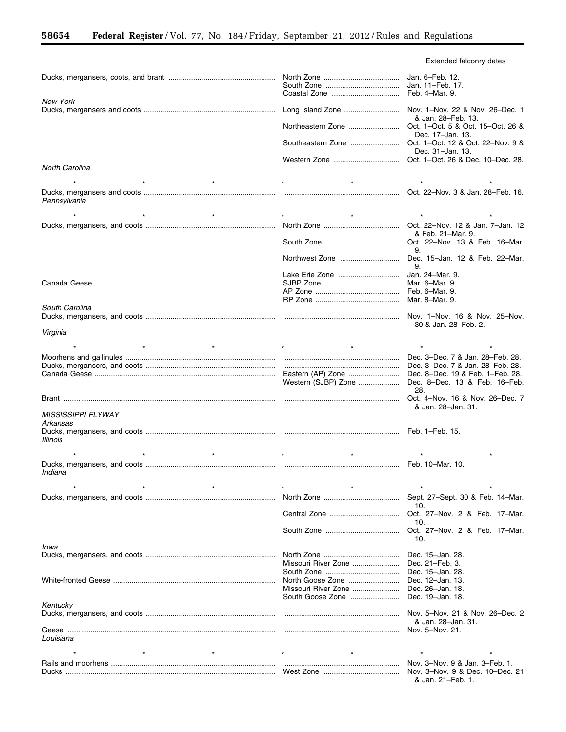Ξ

|                           |                                                           | Extended falconry dates                                              |
|---------------------------|-----------------------------------------------------------|----------------------------------------------------------------------|
|                           | Coastal Zone  Feb. 4-Mar. 9.                              |                                                                      |
| <b>New York</b>           |                                                           |                                                                      |
|                           | Long Island Zone  Nov. 1-Nov. 22 & Nov. 26-Dec. 1         | & Jan. 28-Feb. 13.                                                   |
|                           |                                                           | Dec. 17-Jan. 13.                                                     |
|                           |                                                           |                                                                      |
|                           |                                                           | Dec. 31-Jan. 13.                                                     |
| <b>North Carolina</b>     |                                                           |                                                                      |
|                           |                                                           | $\star$                                                              |
| Pennsylvania              |                                                           | Oct. 22-Nov. 3 & Jan. 28-Feb. 16.                                    |
|                           |                                                           |                                                                      |
|                           |                                                           | & Feb. 21-Mar. 9.                                                    |
|                           |                                                           | Oct. 22-Nov. 13 & Feb. 16-Mar.                                       |
|                           |                                                           | 9.<br>Northwest Zone  Dec. 15-Jan. 12 & Feb. 22-Mar.                 |
|                           |                                                           | 9.                                                                   |
|                           |                                                           |                                                                      |
|                           |                                                           |                                                                      |
| South Carolina            |                                                           |                                                                      |
|                           |                                                           | Nov. 1–Nov. 16 & Nov. 25–Nov.                                        |
|                           |                                                           | 30 & Jan. 28–Feb. 2.                                                 |
| Virginia                  |                                                           |                                                                      |
|                           |                                                           |                                                                      |
|                           |                                                           | Dec. 3-Dec. 7 & Jan. 28-Feb. 28.<br>Dec. 3–Dec. 7 & Jan. 28–Feb. 28. |
|                           |                                                           |                                                                      |
|                           |                                                           | Western (SJBP) Zone  Dec. 8-Dec. 13 & Feb. 16-Feb.                   |
|                           |                                                           | 28.<br>Oct. 4–Nov. 16 & Nov. 26–Dec. 7                               |
|                           |                                                           | & Jan. 28-Jan. 31.                                                   |
| <b>MISSISSIPPI FLYWAY</b> |                                                           |                                                                      |
| Arkansas                  |                                                           |                                                                      |
| Illinois                  |                                                           |                                                                      |
|                           | $\star$                                                   |                                                                      |
| Indiana                   |                                                           |                                                                      |
|                           |                                                           |                                                                      |
|                           |                                                           | Sept. 27-Sept. 30 & Feb. 14-Mar.                                     |
|                           |                                                           | 10.                                                                  |
|                           |                                                           | Oct. 27-Nov. 2 & Feb. 17-Mar.<br>10.                                 |
|                           |                                                           | Oct. 27-Nov. 2 & Feb. 17-Mar.                                        |
| lowa                      |                                                           | 10.                                                                  |
|                           |                                                           | Dec. 15-Jan. 28.                                                     |
|                           | Missouri River Zone                                       | Dec. 21-Feb. 3.                                                      |
|                           |                                                           | Dec. 15-Jan. 28.                                                     |
|                           | North Goose Zone                                          | Dec. 12-Jan. 13.                                                     |
|                           | Missouri River Zone<br>South Goose Zone  Dec. 19-Jan. 18. | Dec. 26-Jan. 18.                                                     |
| Kentucky                  |                                                           |                                                                      |
|                           |                                                           | Nov. 5-Nov. 21 & Nov. 26-Dec. 2                                      |
|                           |                                                           | & Jan. 28-Jan. 31.<br>Nov. 5-Nov. 21.                                |
| Louisiana                 |                                                           |                                                                      |
|                           |                                                           | $\star$                                                              |
|                           |                                                           | Nov. 3-Nov. 9 & Jan. 3-Feb. 1.                                       |
|                           |                                                           | Nov. 3-Nov. 9 & Dec. 10-Dec. 21<br>& Jan. 21-Feb. 1.                 |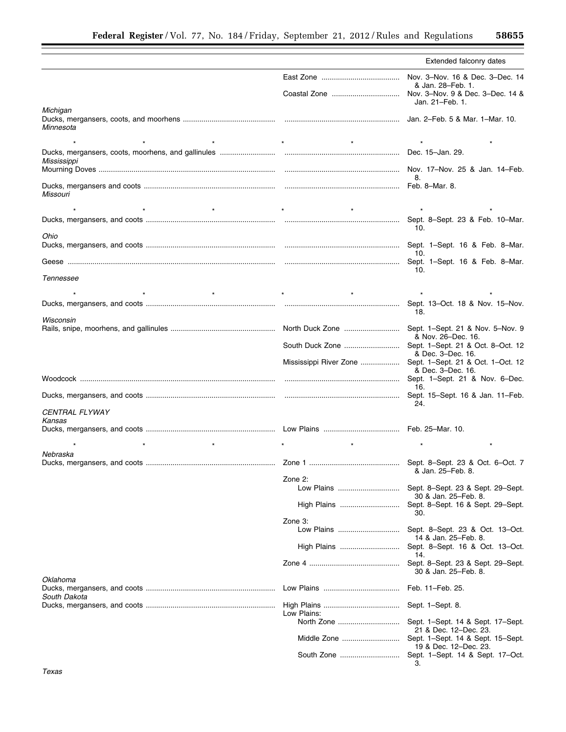|                       |                                                           | Extended falconry dates                                         |
|-----------------------|-----------------------------------------------------------|-----------------------------------------------------------------|
|                       |                                                           | & Jan. 28-Feb. 1.                                               |
|                       |                                                           | Jan. 21-Feb. 1.                                                 |
| Michigan<br>Minnesota |                                                           |                                                                 |
|                       |                                                           |                                                                 |
| Mississippi           |                                                           |                                                                 |
|                       |                                                           | 8.                                                              |
| Missouri              |                                                           |                                                                 |
| $\star$               | $\star$                                                   |                                                                 |
| Ohio                  |                                                           | 10.                                                             |
|                       |                                                           | 10.                                                             |
|                       |                                                           |                                                                 |
| Tennessee             |                                                           | 10.                                                             |
| $\star$               | $\star$                                                   |                                                                 |
| Wisconsin             |                                                           | Sept. 13-Oct. 18 & Nov. 15-Nov.<br>18.                          |
|                       |                                                           | & Nov. 26-Dec. 16.                                              |
|                       |                                                           | & Dec. 3-Dec. 16.                                               |
|                       | Mississippi River Zone  Sept. 1-Sept. 21 & Oct. 1-Oct. 12 | & Dec. 3-Dec. 16.                                               |
|                       |                                                           | 16.                                                             |
| CENTRAL FLYWAY        |                                                           | 24.                                                             |
| Kansas                |                                                           |                                                                 |
|                       |                                                           |                                                                 |
| Nebraska              |                                                           | $\star$                                                         |
|                       |                                                           | & Jan. 25-Feb. 8.                                               |
|                       | Zone 2:<br>Low Plains                                     | Sept. 8-Sept. 23 & Sept. 29-Sept.                               |
|                       | High Plains                                               | 30 & Jan. 25–Feb. 8.<br>Sept. 8-Sept. 16 & Sept. 29-Sept.       |
|                       | Zone 3:                                                   | 30.                                                             |
|                       | Low Plains                                                | Sept. 8-Sept. 23 & Oct. 13-Oct.<br>14 & Jan. 25–Feb. 8.         |
|                       | High Plains                                               | Sept. 8-Sept. 16 & Oct. 13-Oct.<br>14.                          |
| Oklahoma              |                                                           | Sept. 8-Sept. 23 & Sept. 29-Sept.<br>30 & Jan. 25–Feb. 8.       |
| South Dakota          |                                                           | Feb. 11-Feb. 25.                                                |
|                       | Low Plains:                                               |                                                                 |
|                       |                                                           | Sept. 1–Sept. 14 & Sept. 17–Sept.                               |
|                       |                                                           | 21 & Dec. 12–Dec. 23.<br>Sept. 1–Sept. 14 & Sept. 15–Sept.      |
|                       |                                                           | 19 & Dec. 12–Dec. 23.<br>Sept. 1–Sept. 14 & Sept. 17–Oct.<br>3. |